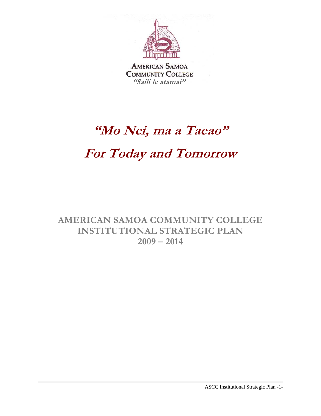

**AMERICAN SAMOA COMMUNITY COLLEGE "Saili le atamai"**

# **"Mo Nei, ma a Taeao" For Today and Tomorrow**

**AMERICAN SAMOA COMMUNITY COLLEGE INSTITUTIONAL STRATEGIC PLAN 2009 – 2014** 

ASCC Institutional Strategic Plan -1-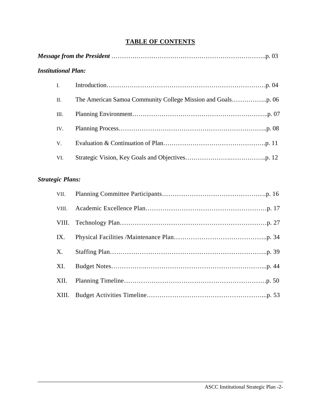# **TABLE OF CONTENTS**

| <b>Institutional Plan:</b> |  |  |  |  |  |  |  |  |  |
|----------------------------|--|--|--|--|--|--|--|--|--|
| $\mathbf{I}$ .             |  |  |  |  |  |  |  |  |  |
| $\Pi$ .                    |  |  |  |  |  |  |  |  |  |
| Ш.                         |  |  |  |  |  |  |  |  |  |
| IV.                        |  |  |  |  |  |  |  |  |  |
| V.                         |  |  |  |  |  |  |  |  |  |
| VI.                        |  |  |  |  |  |  |  |  |  |
|                            |  |  |  |  |  |  |  |  |  |

# *Strategic Plans:*

| VII.        |  |
|-------------|--|
| VIII.       |  |
|             |  |
| IX.         |  |
| $X_{\cdot}$ |  |
| XI.         |  |
| XII.        |  |
| XIII.       |  |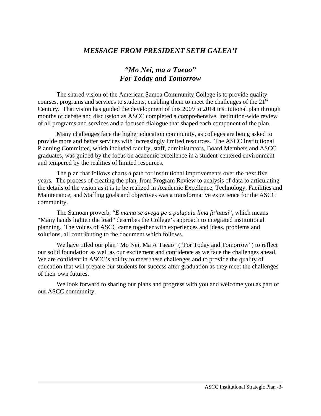# *MESSAGE FROM PRESIDENT SETH GALEA'I*

# *"Mo Nei, ma a Taeao" For Today and Tomorrow*

The shared vision of the American Samoa Community College is to provide quality courses, programs and services to students, enabling them to meet the challenges of the  $21<sup>st</sup>$ Century. That vision has guided the development of this 2009 to 2014 institutional plan through months of debate and discussion as ASCC completed a comprehensive, institution-wide review of all programs and services and a focused dialogue that shaped each component of the plan.

 Many challenges face the higher education community, as colleges are being asked to provide more and better services with increasingly limited resources. The ASCC Institutional Planning Committee, which included faculty, staff, administrators, Board Members and ASCC graduates, was guided by the focus on academic excellence in a student-centered environment and tempered by the realities of limited resources.

 The plan that follows charts a path for institutional improvements over the next five years. The process of creating the plan, from Program Review to analysis of data to articulating the details of the vision as it is to be realized in Academic Excellence, Technology, Facilities and Maintenance, and Staffing goals and objectives was a transformative experience for the ASCC community.

 The Samoan proverb, "*E mama se avega pe a pulupulu lima fa'atasi*", which means "Many hands lighten the load" describes the College's approach to integrated institutional planning. The voices of ASCC came together with experiences and ideas, problems and solutions, all contributing to the document which follows.

 We have titled our plan "Mo Nei, Ma A Taeao" ("For Today and Tomorrow") to reflect our solid foundation as well as our excitement and confidence as we face the challenges ahead. We are confident in ASCC's ability to meet these challenges and to provide the quality of education that will prepare our students for success after graduation as they meet the challenges of their own futures.

 We look forward to sharing our plans and progress with you and welcome you as part of our ASCC community.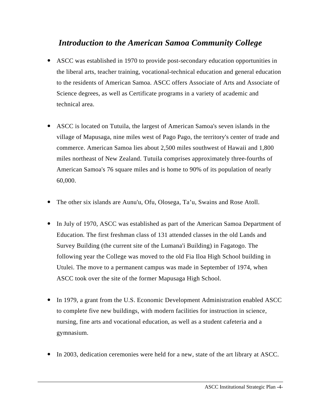# *Introduction to the American Samoa Community College*

- ASCC was established in 1970 to provide post-secondary education opportunities in the liberal arts, teacher training, vocational-technical education and general education to the residents of American Samoa. ASCC offers Associate of Arts and Associate of Science degrees, as well as Certificate programs in a variety of academic and technical area.
- ASCC is located on Tutuila, the largest of American Samoa's seven islands in the village of Mapusaga, nine miles west of Pago Pago, the territory's center of trade and commerce. American Samoa lies about 2,500 miles southwest of Hawaii and 1,800 miles northeast of New Zealand. Tutuila comprises approximately three-fourths of American Samoa's 76 square miles and is home to 90% of its population of nearly 60,000.
- The other six islands are Aunu'u, Ofu, Olosega, Ta'u, Swains and Rose Atoll.
- In July of 1970, ASCC was established as part of the American Samoa Department of Education. The first freshman class of 131 attended classes in the old Lands and Survey Building (the current site of the Lumana'i Building) in Fagatogo. The following year the College was moved to the old Fia Iloa High School building in Utulei. The move to a permanent campus was made in September of 1974, when ASCC took over the site of the former Mapusaga High School.
- In 1979, a grant from the U.S. Economic Development Administration enabled ASCC to complete five new buildings, with modern facilities for instruction in science, nursing, fine arts and vocational education, as well as a student cafeteria and a gymnasium.
- In 2003, dedication ceremonies were held for a new, state of the art library at ASCC.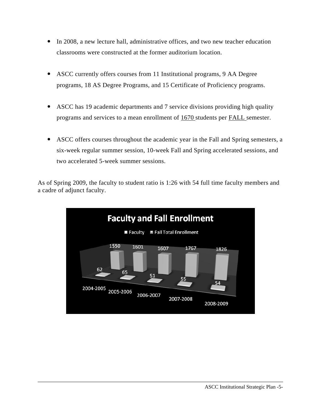- In 2008, a new lecture hall, administrative offices, and two new teacher education classrooms were constructed at the former auditorium location.
- ASCC currently offers courses from 11 Institutional programs, 9 AA Degree programs, 18 AS Degree Programs, and 15 Certificate of Proficiency programs.
- ASCC has 19 academic departments and 7 service divisions providing high quality programs and services to a mean enrollment of  $1670$  students per FALL semester.
- ASCC offers courses throughout the academic year in the Fall and Spring semesters, a six-week regular summer session, 10-week Fall and Spring accelerated sessions, and two accelerated 5-week summer sessions.

As of Spring 2009, the faculty to student ratio is 1:26 with 54 full time faculty members and a cadre of adjunct faculty.

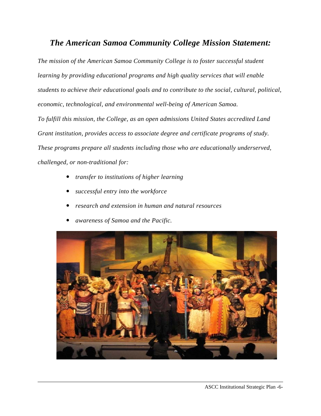# *The American Samoa Community College Mission Statement:*

*The mission of the American Samoa Community College is to foster successful student learning by providing educational programs and high quality services that will enable students to achieve their educational goals and to contribute to the social, cultural, political, economic, technological, and environmental well-being of American Samoa.* 

*To fulfill this mission, the College, as an open admissions United States accredited Land Grant institution, provides access to associate degree and certificate programs of study. These programs prepare all students including those who are educationally underserved, challenged, or non-traditional for:* 

- *transfer to institutions of higher learning*
- y *successful entry into the workforce*
- y *research and extension in human and natural resources*
- y *awareness of Samoa and the Pacific.*

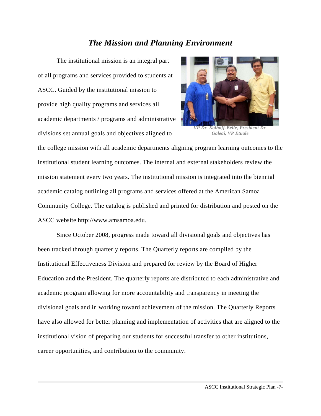# *The Mission and Planning Environment*

The institutional mission is an integral part of all programs and services provided to students at ASCC. Guided by the institutional mission to provide high quality programs and services all academic departments / programs and administrative divisions set annual goals and objectives aligned to



*VP Dr. Kolhoff-Belle, President Dr. Galeai, VP Etuale* 

the college mission with all academic departments aligning program learning outcomes to the institutional student learning outcomes. The internal and external stakeholders review the mission statement every two years. The institutional mission is integrated into the biennial academic catalog outlining all programs and services offered at the American Samoa Community College. The catalog is published and printed for distribution and posted on the ASCC website http://www.amsamoa.edu.

Since October 2008, progress made toward all divisional goals and objectives has been tracked through quarterly reports. The Quarterly reports are compiled by the Institutional Effectiveness Division and prepared for review by the Board of Higher Education and the President. The quarterly reports are distributed to each administrative and academic program allowing for more accountability and transparency in meeting the divisional goals and in working toward achievement of the mission. The Quarterly Reports have also allowed for better planning and implementation of activities that are aligned to the institutional vision of preparing our students for successful transfer to other institutions, career opportunities, and contribution to the community.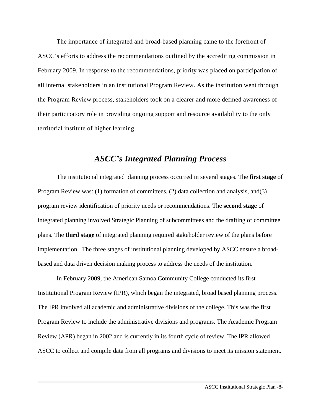The importance of integrated and broad-based planning came to the forefront of ASCC's efforts to address the recommendations outlined by the accrediting commission in February 2009. In response to the recommendations, priority was placed on participation of all internal stakeholders in an institutional Program Review. As the institution went through the Program Review process, stakeholders took on a clearer and more defined awareness of their participatory role in providing ongoing support and resource availability to the only territorial institute of higher learning.

# *ASCC's Integrated Planning Process*

The institutional integrated planning process occurred in several stages. The **first stage** of Program Review was: (1) formation of committees, (2) data collection and analysis, and(3) program review identification of priority needs or recommendations. The **second stage** of integrated planning involved Strategic Planning of subcommittees and the drafting of committee plans. The **third stage** of integrated planning required stakeholder review of the plans before implementation. The three stages of institutional planning developed by ASCC ensure a broadbased and data driven decision making process to address the needs of the institution.

In February 2009, the American Samoa Community College conducted its first Institutional Program Review (IPR), which began the integrated, broad based planning process. The IPR involved all academic and administrative divisions of the college. This was the first Program Review to include the administrative divisions and programs. The Academic Program Review (APR) began in 2002 and is currently in its fourth cycle of review. The IPR allowed ASCC to collect and compile data from all programs and divisions to meet its mission statement.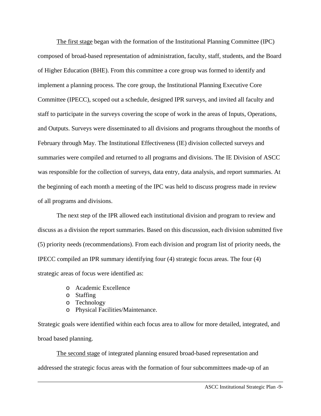The first stage began with the formation of the Institutional Planning Committee (IPC) composed of broad-based representation of administration, faculty, staff, students, and the Board of Higher Education (BHE). From this committee a core group was formed to identify and implement a planning process. The core group, the Institutional Planning Executive Core Committee (IPECC), scoped out a schedule, designed IPR surveys, and invited all faculty and staff to participate in the surveys covering the scope of work in the areas of Inputs, Operations, and Outputs. Surveys were disseminated to all divisions and programs throughout the months of February through May. The Institutional Effectiveness (IE) division collected surveys and summaries were compiled and returned to all programs and divisions. The IE Division of ASCC was responsible for the collection of surveys, data entry, data analysis, and report summaries. At the beginning of each month a meeting of the IPC was held to discuss progress made in review of all programs and divisions.

The next step of the IPR allowed each institutional division and program to review and discuss as a division the report summaries. Based on this discussion, each division submitted five (5) priority needs (recommendations). From each division and program list of priority needs, the IPECC compiled an IPR summary identifying four (4) strategic focus areas. The four (4) strategic areas of focus were identified as:

- o Academic Excellence
- o Staffing
- o Technology
- o Physical Facilities/Maintenance.

Strategic goals were identified within each focus area to allow for more detailed, integrated, and broad based planning.

The second stage of integrated planning ensured broad-based representation and addressed the strategic focus areas with the formation of four subcommittees made-up of an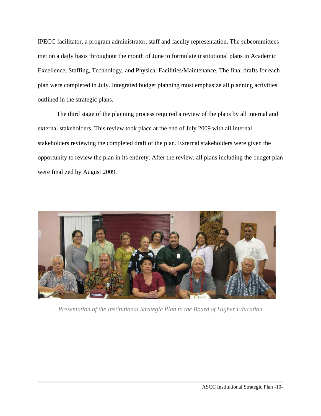IPECC facilitator, a program administrator, staff and faculty representation. The subcommittees met on a daily basis throughout the month of June to formulate institutional plans in Academic Excellence, Staffing, Technology, and Physical Facilities/Maintenance. The final drafts for each plan were completed in July. Integrated budget planning must emphasize all planning activities outlined in the strategic plans.

The third stage of the planning process required a review of the plans by all internal and external stakeholders. This review took place at the end of July 2009 with all internal stakeholders reviewing the completed draft of the plan. External stakeholders were given the opportunity to review the plan in its entirety. After the review, all plans including the budget plan were finalized by August 2009.



*Presentation of the Institutional Strategic Plan to the Board of Higher Education*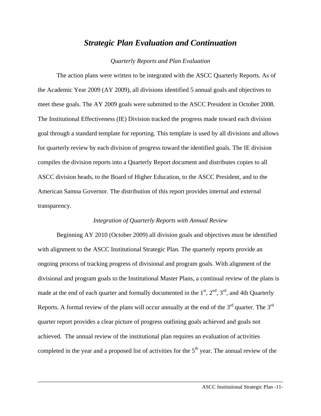# *Strategic Plan Evaluation and Continuation*

#### *Quarterly Reports and Plan Evaluation*

The action plans were written to be integrated with the ASCC Quarterly Reports. As of the Academic Year 2009 (AY 2009), all divisions identified 5 annual goals and objectives to meet these goals. The AY 2009 goals were submitted to the ASCC President in October 2008. The Institutional Effectiveness (IE) Division tracked the progress made toward each division goal through a standard template for reporting. This template is used by all divisions and allows for quarterly review by each division of progress toward the identified goals. The IE division compiles the division reports into a Quarterly Report document and distributes copies to all ASCC division heads, to the Board of Higher Education, to the ASCC President, and to the American Samoa Governor. The distribution of this report provides internal and external transparency.

#### *Integration of Quarterly Reports with Annual Review*

Beginning AY 2010 (October 2009) all division goals and objectives must be identified with alignment to the ASCC Institutional Strategic Plan. The quarterly reports provide an ongoing process of tracking progress of divisional and program goals. With alignment of the divisional and program goals to the Institutional Master Plans, a continual review of the plans is made at the end of each quarter and formally documented in the  $1<sup>st</sup>$ ,  $2<sup>nd</sup>$ ,  $3<sup>rd</sup>$ , and 4th Quarterly Reports. A formal review of the plans will occur annually at the end of the  $3<sup>rd</sup>$  quarter. The  $3<sup>rd</sup>$ quarter report provides a clear picture of progress outlining goals achieved and goals not achieved. The annual review of the institutional plan requires an evaluation of activities completed in the year and a proposed list of activities for the  $5<sup>th</sup>$  year. The annual review of the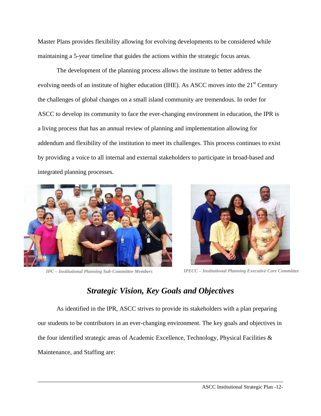Master Plans provides flexibility allowing for evolving developments to be considered while maintaining a 5-year timeline that guides the actions within the strategic focus areas.

The development of the planning process allows the institute to better address the evolving needs of an institute of higher education (IHE). As ASCC moves into the 21<sup>st</sup> Century the challenges of global changes on a small island community are tremendous. In order for ASCC to develop its community to face the ever-changing environment in education, the IPR is a living process that has an annual review of planning and implementation allowing for addendum and flexibility of the institution to meet its challenges. This process continues to exist by providing a voice to all internal and external stakeholders to participate in broad-based and integrated planning processes.





*IPC – Institutional Planning Sub-Committee Members IPECC – Institutional Planning Executive Core Committee*

# *Strategic Vision, Key Goals and Objectives*

As identified in the IPR, ASCC strives to provide its stakeholders with a plan preparing our students to be contributors in an ever-changing environment. The key goals and objectives in the four identified strategic areas of Academic Excellence, Technology, Physical Facilities & Maintenance, and Staffing are: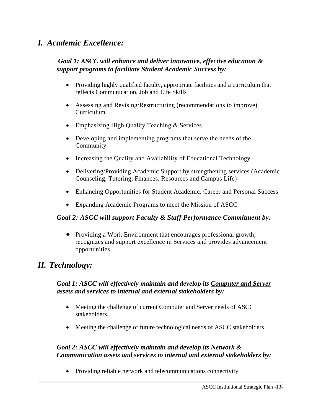# *I. Academic Excellence:*

# *Goal 1: ASCC will enhance and deliver innovative, effective education & support programs to facilitate Student Academic Success by:*

- Providing highly qualified faculty, appropriate facilities and a curriculum that reflects Communication, Job and Life Skills
- Assessing and Revising/Restructuring (recommendations to improve) Curriculum
- Emphasizing High Quality Teaching & Services
- Developing and implementing programs that serve the needs of the Community
- Increasing the Quality and Availability of Educational Technology
- Delivering/Providing Academic Support by strengthening services (Academic Counseling, Tutoring, Finances, Resources and Campus Life)
- Enhancing Opportunities for Student Academic, Career and Personal Success
- Expanding Academic Programs to meet the Mission of ASCC

# *Goal 2: ASCC will support Faculty & Staff Performance Commitment by:*

• Providing a Work Environment that encourages professional growth, recognizes and support excellence in Services and provides advancement opportunities

# *II. Technology:*

# *Goal 1: ASCC will effectively maintain and develop its Computer and Server assets and services to internal and external stakeholders by:*

- Meeting the challenge of current Computer and Server needs of ASCC stakeholders.
- Meeting the challenge of future technological needs of ASCC stakeholders

# *Goal 2: ASCC will effectively maintain and develop its Network & Communication assets and services to internal and external stakeholders by:*

• Providing reliable network and telecommunications connectivity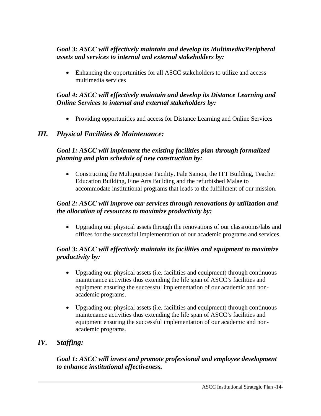# *Goal 3: ASCC will effectively maintain and develop its Multimedia/Peripheral assets and services to internal and external stakeholders by:*

• Enhancing the opportunities for all ASCC stakeholders to utilize and access multimedia services

# *Goal 4: ASCC will effectively maintain and develop its Distance Learning and Online Services to internal and external stakeholders by:*

• Providing opportunities and access for Distance Learning and Online Services

# *III. Physical Facilities & Maintenance:*

# *Goal 1: ASCC will implement the existing facilities plan through formalized planning and plan schedule of new construction by:*

• Constructing the Multipurpose Facility, Fale Samoa, the ITT Building, Teacher Education Building, Fine Arts Building and the refurbished Malae to accommodate institutional programs that leads to the fulfillment of our mission.

# *Goal 2: ASCC will improve our services through renovations by utilization and the allocation of resources to maximize productivity by:*

• Upgrading our physical assets through the renovations of our classrooms/labs and offices for the successful implementation of our academic programs and services.

# *Goal 3: ASCC will effectively maintain its facilities and equipment to maximize productivity by:*

- Upgrading our physical assets (i.e. facilities and equipment) through continuous maintenance activities thus extending the life span of ASCC's facilities and equipment ensuring the successful implementation of our academic and nonacademic programs.
- Upgrading our physical assets (i.e. facilities and equipment) through continuous maintenance activities thus extending the life span of ASCC's facilities and equipment ensuring the successful implementation of our academic and nonacademic programs.

# *IV. Staffing:*

# *Goal 1: ASCC will invest and promote professional and employee development to enhance institutional effectiveness.*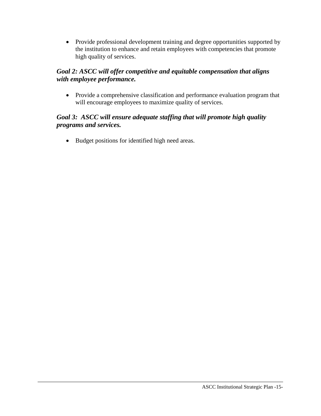• Provide professional development training and degree opportunities supported by the institution to enhance and retain employees with competencies that promote high quality of services.

# *Goal 2: ASCC will offer competitive and equitable compensation that aligns with employee performance.*

• Provide a comprehensive classification and performance evaluation program that will encourage employees to maximize quality of services.

# *Goal 3: ASCC will ensure adequate staffing that will promote high quality programs and services.*

• Budget positions for identified high need areas.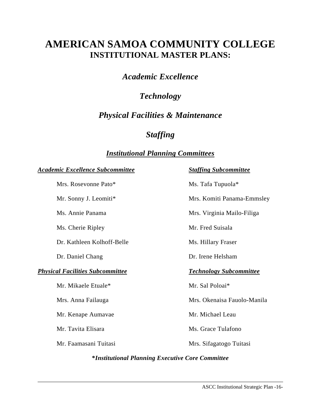# **AMERICAN SAMOA COMMUNITY COLLEGE INSTITUTIONAL MASTER PLANS:**

*Academic Excellence* 

# *Technology*

# *Physical Facilities & Maintenance*

# *Staffing*

# *Institutional Planning Committees*

#### *Academic Excellence Subcommittee**Staffing Subcommittee*

Mrs. Rosevonne Pato\* Ms. Tafa Tupuola\*

Ms. Cherie Ripley Mr. Fred Suisala

Dr. Kathleen Kolhoff-Belle Ms. Hillary Fraser

#### *Physical Facilities Subcommittee**Technology Subcommittee*

Mr. Mikaele Etuale\* Mr. Sal Poloai\*

Mr. Kenape Aumavae Mr. Michael Leau

Mr. Sonny J. Leomiti\* Mrs. Komiti Panama-Emmsley

Ms. Annie Panama Mrs. Virginia Mailo-Filiga

Dr. Daniel Chang Dr. Irene Helsham

Mrs. Anna Failauga Mrs. Okenaisa Fauolo-Manila

Mr. Tavita Elisara (m. 1988). Mr. Grace Tulafono

Mr. Faamasani Tuitasi Mrs. Sifagatogo Tuitasi

#### **\****Institutional Planning Executive Core Committee*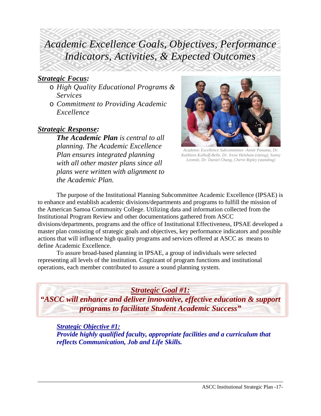# *Academic Excellence Goals, Objectives, Performance Indicators, Activities, & Expected Outcomes*

# *Strategic Focus:*

- o *High Quality Educational Programs & Services*
- o *Commitment to Providing Academic Excellence*

# *Strategic Response:*

*The Academic Plan is central to all planning. The Academic Excellence Plan ensures integrated planning with all other master plans since all plans were written with alignment to the Academic Plan.* 



*Academic Excellence Subcommittee -Annie Panama, Dr. Kathleen Kolhoff-Belle, Dr. Irene Helsham (sitting), Sonny Leomiti, Dr. Daniel Chang, Cherie Ripley (standing)* 

The purpose of the Institutional Planning Subcommittee Academic Excellence (IPSAE) is to enhance and establish academic divisions/departments and programs to fulfill the mission of the American Samoa Community College. Utilizing data and information collected from the Institutional Program Review and other documentations gathered from ASCC divisions/departments, programs and the office of Institutional Effectiveness, IPSAE developed a master plan consisting of strategic goals and objectives, key performance indicators and possible actions that will influence high quality programs and services offered at ASCC as means to define Academic Excellence.

To assure broad-based planning in IPSAE, a group of individuals were selected representing all levels of the institution. Cognizant of program functions and institutional operations, each member contributed to assure a sound planning system.

# *Strategic Goal #1:*

*"ASCC will enhance and deliver innovative, effective education & support programs to facilitate Student Academic Success"* 

*Strategic Objective #1: Provide highly qualified faculty, appropriate facilities and a curriculum that reflects Communication, Job and Life Skills.*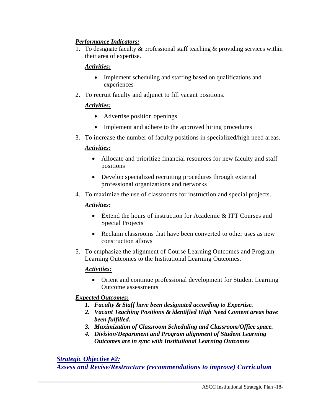# *Performance Indicators:*

1. To designate faculty  $&$  professional staff teaching  $&$  providing services within their area of expertise.

# *Activities:*

- Implement scheduling and staffing based on qualifications and experiences
- 2. To recruit faculty and adjunct to fill vacant positions.

# *Activities:*

- Advertise position openings
- Implement and adhere to the approved hiring procedures
- 3. To increase the number of faculty positions in specialized/high need areas.

# *Activities:*

- Allocate and prioritize financial resources for new faculty and staff positions
- Develop specialized recruiting procedures through external professional organizations and networks
- 4. To maximize the use of classrooms for instruction and special projects.

# *Activities:*

- Extend the hours of instruction for Academic & ITT Courses and Special Projects
- Reclaim classrooms that have been converted to other uses as new construction allows
- 5. To emphasize the alignment of Course Learning Outcomes and Program Learning Outcomes to the Institutional Learning Outcomes.

# *Activities:*

• Orient and continue professional development for Student Learning Outcome assessments

# *Expected Outcomes:*

- *1. Faculty & Staff have been designated according to Expertise.*
- *2. Vacant Teaching Positions & identified High Need Content areas have been fulfilled.*
- *3. Maximization of Classroom Scheduling and Classroom/Office space.*
- *4. Division/Department and Program alignment of Student Learning Outcomes are in sync with Institutional Learning Outcomes*

# *Strategic Objective #2:*

*Assess and Revise/Restructure (recommendations to improve) Curriculum*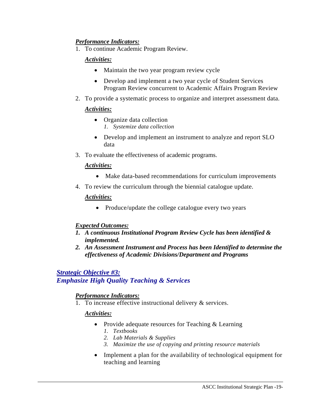# *Performance Indicators:*

1. To continue Academic Program Review.

# *Activities:*

- Maintain the two year program review cycle
- Develop and implement a two year cycle of Student Services Program Review concurrent to Academic Affairs Program Review
- 2. To provide a systematic process to organize and interpret assessment data.

# *Activities:*

- Organize data collection *1. Systemize data collection*
- Develop and implement an instrument to analyze and report SLO data
- 3. To evaluate the effectiveness of academic programs.

## *Activities:*

- Make data-based recommendations for curriculum improvements
- 4. To review the curriculum through the biennial catalogue update.

## *Activities:*

• Produce/update the college catalogue every two years

# *Expected Outcomes:*

- *1. A continuous Institutional Program Review Cycle has been identified & implemented.*
- *2. An Assessment Instrument and Process has been Identified to determine the effectiveness of Academic Divisions/Department and Programs*

# *Strategic Objective #3:*

# *Emphasize High Quality Teaching & Services*

# *Performance Indicators:*

1. To increase effective instructional delivery & services.

# *Activities:*

- Provide adequate resources for Teaching & Learning
	- *1. Textbooks*
	- *2. Lab Materials & Supplies*
	- *3. Maximize the use of copying and printing resource materials*
- Implement a plan for the availability of technological equipment for teaching and learning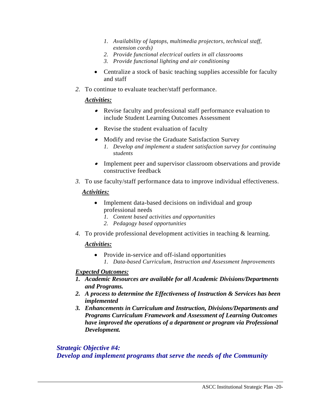- *1. Availability of laptops, multimedia projectors, technical staff, extension cords)*
- *2. Provide functional electrical outlets in all classrooms*
- *3. Provide functional lighting and air conditioning*
- Centralize a stock of basic teaching supplies accessible for faculty and staff
- *2.* To continue to evaluate teacher/staff performance.

# *Activities:*

- Revise faculty and professional staff performance evaluation to include Student Learning Outcomes Assessment
- Revise the student evaluation of faculty
- Modify and revise the Graduate Satisfaction Survey *1. Develop and implement a student satisfaction survey for continuing students*
- Implement peer and supervisor classroom observations and provide constructive feedback
- *3.* To use faculty/staff performance data to improve individual effectiveness.

# *Activities:*

- Implement data-based decisions on individual and group professional needs
	- *1. Content based activities and opportunities*
	- *2. Pedagogy based opportunities*
- *4.* To provide professional development activities in teaching & learning.

# *Activities:*

- Provide in-service and off-island opportunities
	- *1. Data-based Curriculum, Instruction and Assessment Improvements*

# *Expected Outcomes:*

- *1. Academic Resources are available for all Academic Divisions/Departments and Programs.*
- *2. A process to determine the Effectiveness of Instruction & Services has been implemented*
- *3. Enhancements in Curriculum and Instruction, Divisions/Departments and Programs Curriculum Framework and Assessment of Learning Outcomes have improved the operations of a department or program via Professional Development.*

## *Strategic Objective #4: Develop and implement programs that serve the needs of the Community*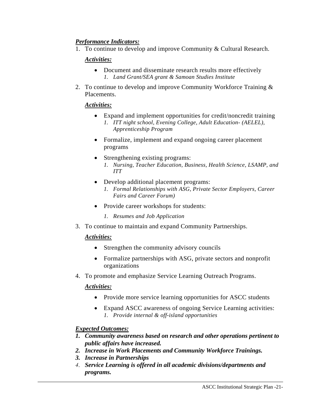# *Performance Indicators:*

1. To continue to develop and improve Community & Cultural Research.

# *Activities:*

- Document and disseminate research results more effectively *1. Land Grant/SEA grant & Samoan Studies Institute*
- 2. To continue to develop and improve Community Workforce Training & Placements.

# *Activities:*

- Expand and implement opportunities for credit/noncredit training
	- *1. ITT night school, Evening College, Adult Education- (AELEL), Apprenticeship Program*
- Formalize, implement and expand ongoing career placement programs
- Strengthening existing programs: *1. Nursing, Teacher Education, Business, Health Science, LSAMP, and ITT*
- Develop additional placement programs: *1. Formal Relationships with ASG, Private Sector Employers, Career Fairs and Career Forum)*
- Provide career workshops for students:
	- *1. Resumes and Job Application*
- 3. To continue to maintain and expand Community Partnerships.

# *Activities:*

- Strengthen the community advisory councils
- Formalize partnerships with ASG, private sectors and nonprofit organizations
- 4. To promote and emphasize Service Learning Outreach Programs.

# *Activities:*

- Provide more service learning opportunities for ASCC students
- Expand ASCC awareness of ongoing Service Learning activities: *1. Provide internal & off-island opportunities*

- *1. Community awareness based on research and other operations pertinent to public affairs have increased.*
- *2. Increase in Work Placements and Community Workforce Trainings.*
- *3. Increase in Partnerships*
- *4. Service Learning is offered in all academic divisions/departments and programs.*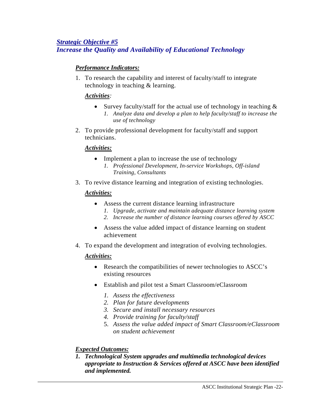# *Strategic Objective #5 Increase the Quality and Availability of Educational Technology*

# *Performance Indicators:*

1. To research the capability and interest of faculty/staff to integrate technology in teaching & learning.

# *Activities:*

- Survey faculty/staff for the actual use of technology in teaching  $\&$ 
	- *1. Analyze data and develop a plan to help faculty/staff to increase the use of technology*
- 2. To provide professional development for faculty/staff and support technicians.

## *Activities:*

- Implement a plan to increase the use of technology
	- *1. Professional Development, In-service Workshops, Off-island Training, Consultants*
- 3. To revive distance learning and integration of existing technologies.

# *Activities:*

- Assess the current distance learning infrastructure
	- *1. Upgrade, activate and maintain adequate distance learning system*
	- *2. Increase the number of distance learning courses offered by ASCC*
- Assess the value added impact of distance learning on student achievement
- 4. To expand the development and integration of evolving technologies.

# *Activities:*

- Research the compatibilities of newer technologies to ASCC's existing resources
- Establish and pilot test a Smart Classroom/eClassroom
	- *1. Assess the effectiveness*
	- *2. Plan for future developments*
	- *3. Secure and install necessary resources*
	- *4. Provide training for faculty/staff*
	- 5. *Assess the value added impact of Smart Classroom/eClassroom on student achievement*

# *Expected Outcomes:*

*1. Technological System upgrades and multimedia technological devices appropriate to Instruction & Services offered at ASCC have been identified and implemented.*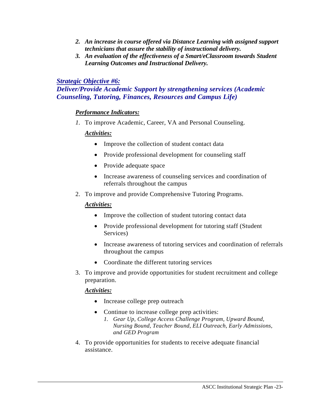- *2. An increase in course offered via Distance Learning with assigned support technicians that assure the stability of instructional delivery.*
- *3. An evaluation of the effectiveness of a Smart/eClassroom towards Student Learning Outcomes and Instructional Delivery.*

# *Strategic Objective #6:*

# *Deliver/Provide Academic Support by strengthening services (Academic Counseling, Tutoring, Finances, Resources and Campus Life)*

# *Performance Indicators:*

*1.* To improve Academic, Career, VA and Personal Counseling.

## *Activities:*

- Improve the collection of student contact data
- Provide professional development for counseling staff
- Provide adequate space
- Increase awareness of counseling services and coordination of referrals throughout the campus
- 2. To improve and provide Comprehensive Tutoring Programs.

# *Activities:*

- Improve the collection of student tutoring contact data
- Provide professional development for tutoring staff (Student) Services)
- Increase awareness of tutoring services and coordination of referrals throughout the campus
- Coordinate the different tutoring services
- 3. To improve and provide opportunities for student recruitment and college preparation.

# *Activities:*

- Increase college prep outreach
- Continue to increase college prep activities:
	- *1. Gear Up, College Access Challenge Program, Upward Bound, Nursing Bound, Teacher Bound, ELI Outreach, Early Admissions, and GED Program*
- 4. To provide opportunities for students to receive adequate financial assistance.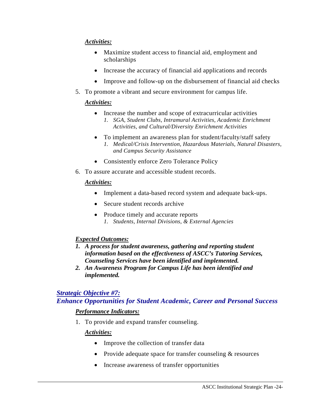# *Activities:*

- Maximize student access to financial aid, employment and scholarships
- Increase the accuracy of financial aid applications and records
- Improve and follow-up on the disbursement of financial aid checks
- 5. To promote a vibrant and secure environment for campus life.

## *Activities:*

- Increase the number and scope of extracurricular activities *1. SGA, Student Clubs, Intramural Activities, Academic Enrichment* 
	- *Activities, and Cultural/Diversity Enrichment Activities*
- To implement an awareness plan for student/faculty/staff safety *1. Medical/Crisis Intervention, Hazardous Materials, Natural Disasters, and Campus Security Assistance*
- Consistently enforce Zero Tolerance Policy
- 6. To assure accurate and accessible student records.

## *Activities:*

- Implement a data-based record system and adequate back-ups.
- Secure student records archive
- Produce timely and accurate reports *1. Students, Internal Divisions, & External Agencies*

# *Expected Outcomes:*

- *1. A process for student awareness, gathering and reporting student information based on the effectiveness of ASCC's Tutoring Services, Counseling Services have been identified and implemented.*
- *2. An Awareness Program for Campus Life has been identified and implemented.*

# *Strategic Objective #7:*

*Enhance Opportunities for Student Academic, Career and Personal Success*

# *Performance Indicators:*

1. To provide and expand transfer counseling.

# *Activities:*

- Improve the collection of transfer data
- Provide adequate space for transfer counseling & resources
- Increase awareness of transfer opportunities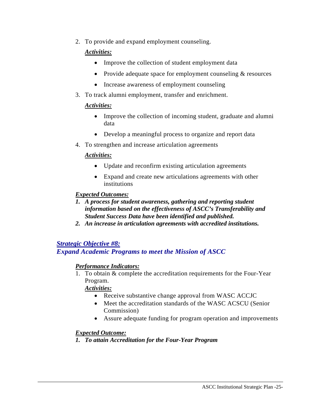2. To provide and expand employment counseling.

# *Activities:*

- Improve the collection of student employment data
- Provide adequate space for employment counseling  $&$  resources
- Increase awareness of employment counseling
- 3. To track alumni employment, transfer and enrichment.

# *Activities:*

- Improve the collection of incoming student, graduate and alumni data
- Develop a meaningful process to organize and report data
- 4. To strengthen and increase articulation agreements

# *Activities:*

- Update and reconfirm existing articulation agreements
- Expand and create new articulations agreements with other institutions

# *Expected Outcomes:*

- *1. A process for student awareness, gathering and reporting student information based on the effectiveness of ASCC's Transferability and Student Success Data have been identified and published.*
- *2. An increase in articulation agreements with accredited institutions.*

*Strategic Objective #8: Expand Academic Programs to meet the Mission of ASCC* 

# *Performance Indicators:*

1. To obtain & complete the accreditation requirements for the Four-Year Program.

*Activities:*

- Receive substantive change approval from WASC ACCJC
- Meet the accreditation standards of the WASC ACSCU (Senior Commission)
- Assure adequate funding for program operation and improvements

# *Expected Outcome:*

*1. To attain Accreditation for the Four-Year Program*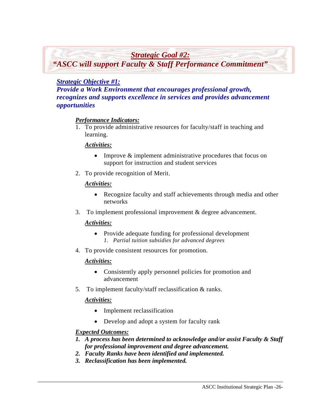*Strategic Goal #2:*

*"ASCC will support Faculty & Staff Performance Commitment"*

# *Strategic Objective #1:*

*Provide a Work Environment that encourages professional growth, recognizes and supports excellence in services and provides advancement opportunities* 

#### *Performance Indicators:*

1. To provide administrative resources for faculty/staff in teaching and learning.

#### *Activities:*

- Improve & implement administrative procedures that focus on support for instruction and student services
- 2. To provide recognition of Merit.

#### *Activities:*

- Recognize faculty and staff achievements through media and other networks
- 3. To implement professional improvement & degree advancement.

#### *Activities:*

- Provide adequate funding for professional development *1. Partial tuition subsidies for advanced degrees*
- 4. To provide consistent resources for promotion.

#### *Activities:*

- Consistently apply personnel policies for promotion and advancement
- 5. To implement faculty/staff reclassification & ranks.

#### *Activities:*

- Implement reclassification
- Develop and adopt a system for faculty rank

- *1. A process has been determined to acknowledge and/or assist Faculty & Staff for professional improvement and degree advancement.*
- *2. Faculty Ranks have been identified and implemented.*
- *3. Reclassification has been implemented.*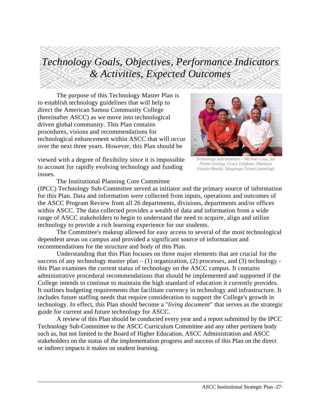# *Technology Goals, Objectives, Performance Indicators & Activities, Expected Outcomes*

The purpose of this Technology Master Plan is to establish technology guidelines that will help to direct the American Samoa Community College (hereinafter ASCC) as we move into technological driven global community. This Plan contains procedures, visions and recommendations for technological enhancement within ASCC that will occur over the next three years. However, this Plan should be



*Poloai (sitting), Grace Tulafono, Okenaisa Fauolo-Manila, Sifagatogo Tuitasi (standing)* 

viewed with a degree of flexibility since it is impossible to account for rapidly evolving technology and funding issues.

The Institutional Planning Core Committee

(IPCC) Technology Sub-Committee served as initiator and the primary source of information for this Plan. Data and information were collected from inputs, operations and outcomes of the ASCC Program Review from all 26 departments, divisions, departments and/or offices within ASCC. The data collected provides a wealth of data and information from a wide range of ASCC stakeholders to begin to understand the need to acquire, align and utilize technology to provide a rich learning experience for our students.

The Committee's makeup allowed for easy access to several of the most technological dependent areas on campus and provided a significant source of information and recommendations for the structure and body of this Plan.

Understanding that this Plan focuses on three major elements that are crucial for the success of any technology master plan  $- (1)$  organization, (2) processes, and (3) technology this Plan examines the current status of technology on the ASCC campus. It contains administrative procedural recommendations that should be implemented and supported if the College intends to continue to maintain the high standard of education it currently provides. It outlines budgeting requirements that facilitate currency in technology and infrastructure. It includes future staffing needs that require consideration to support the College's growth in technology. In effect, this Plan should become a "*living document*" that serves as the strategic guide for current and future technology for ASCC.

A review of this Plan should be conducted every year and a report submitted by the IPCC Technology Sub-Committee to the ASCC Curriculum Committee and any other pertinent body such as, but not limited to the Board of Higher Education, ASCC Administration and ASCC stakeholders on the status of the implementation progress and success of this Plan on the direct or indirect impacts it makes on student learning.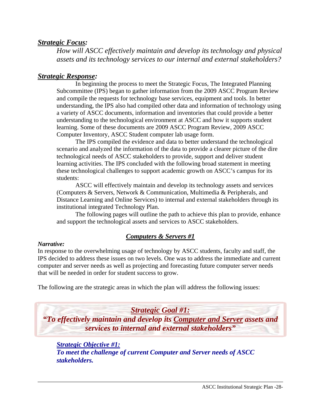# *Strategic Focus:*

*How will ASCC effectively maintain and develop its technology and physical assets and its technology services to our internal and external stakeholders?* 

# *Strategic Response:*

In beginning the process to meet the Strategic Focus, The Integrated Planning Subcommittee (IPS) began to gather information from the 2009 ASCC Program Review and compile the requests for technology base services, equipment and tools. In better understanding, the IPS also had compiled other data and information of technology using a variety of ASCC documents, information and inventories that could provide a better understanding to the technological environment at ASCC and how it supports student learning. Some of these documents are 2009 ASCC Program Review, 2009 ASCC Computer Inventory, ASCC Student computer lab usage form.

The IPS compiled the evidence and data to better understand the technological scenario and analyzed the information of the data to provide a clearer picture of the dire technological needs of ASCC stakeholders to provide, support and deliver student learning activities. The IPS concluded with the following broad statement in meeting these technological challenges to support academic growth on ASCC's campus for its students:

ASCC will effectively maintain and develop its technology assets and services (Computers & Servers, Network & Communication, Multimedia & Peripherals, and Distance Learning and Online Services) to internal and external stakeholders through its institutional integrated Technology Plan.

The following pages will outline the path to achieve this plan to provide, enhance and support the technological assets and services to ASCC stakeholders.

# *Computers & Servers #1*

#### *Narrative:*

In response to the overwhelming usage of technology by ASCC students, faculty and staff, the IPS decided to address these issues on two levels. One was to address the immediate and current computer and server needs as well as projecting and forecasting future computer server needs that will be needed in order for student success to grow.

The following are the strategic areas in which the plan will address the following issues:

*Strategic Goal #1: "To effectively maintain and develop its Computer and Server assets and services to internal and external stakeholders"* 

*Strategic Objective #1: To meet the challenge of current Computer and Server needs of ASCC stakeholders.*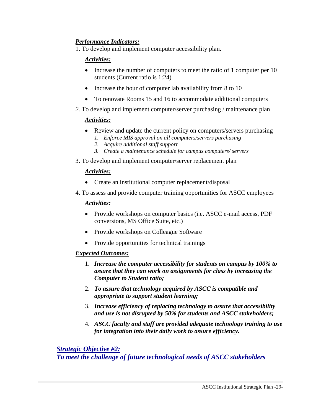# *Performance Indicators:*

1. To develop and implement computer accessibility plan.

#### *Activities:*

- Increase the number of computers to meet the ratio of 1 computer per 10 students (Current ratio is 1:24)
- Increase the hour of computer lab availability from 8 to 10
- To renovate Rooms 15 and 16 to accommodate additional computers
- *2.* To develop and implement computer/server purchasing / maintenance plan

#### *Activities:*

- Review and update the current policy on computers/servers purchasing *1. Enforce MIS approval on all computers/servers purchasing* 
	- *2. Acquire additional staff support*
	- *3. Create a maintenance schedule for campus computers/ servers*
- 3. To develop and implement computer/server replacement plan

#### *Activities:*

- Create an institutional computer replacement/disposal
- 4. To assess and provide computer training opportunities for ASCC employees

#### *Activities:*

- Provide workshops on computer basics (i.e. ASCC e-mail access, PDF conversions, MS Office Suite, etc.)
- Provide workshops on Colleague Software
- Provide opportunities for technical trainings

#### *Expected Outcomes:*

- 1. *Increase the computer accessibility for students on campus by 100% to assure that they can work on assignments for class by increasing the Computer to Student ratio;*
- 2. *To assure that technology acquired by ASCC is compatible and appropriate to support student learning;*
- 3. *Increase efficiency of replacing technology to assure that accessibility and use is not disrupted by 50% for students and ASCC stakeholders;*
- 4. *ASCC faculty and staff are provided adequate technology training to use for integration into their daily work to assure efficiency.*

#### *Strategic Objective #2: To meet the challenge of future technological needs of ASCC stakeholders*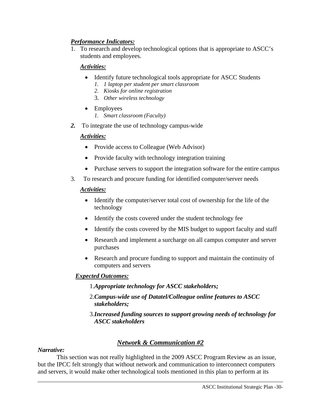# *Performance Indicators:*

1. To research and develop technological options that is appropriate to ASCC's students and employees.

#### *Activities:*

- Identify future technological tools appropriate for ASCC Students
	- *1. 1 laptop per student per smart classroom*
	- *2. Kiosks for online registration*
	- 3. *Other wireless technology*
- Employees
	- *1. Smart classroom (Faculty)*
- *2.* To integrate the use of technology campus-wide

#### *Activities:*

- Provide access to Colleague (Web Advisor)
- Provide faculty with technology integration training
- Purchase servers to support the integration software for the entire campus
- 3*.* To research and procure funding for identified computer/server needs

#### *Activities:*

- Identify the computer/server total cost of ownership for the life of the technology
- Identify the costs covered under the student technology fee
- Identify the costs covered by the MIS budget to support faculty and staff
- Research and implement a surcharge on all campus computer and server purchases
- Research and procure funding to support and maintain the continuity of computers and servers

#### *Expected Outcomes:*

- 1.*Appropriate technology for ASCC stakeholders;*
- 2.*Campus-wide use of Datatel/Colleague online features to ASCC stakeholders;*
- 3.*Increased funding sources to support growing needs of technology for ASCC stakeholders*

# *Network & Communication #2*

#### *Narrative:*

This section was not really highlighted in the 2009 ASCC Program Review as an issue, but the IPCC felt strongly that without network and communication to interconnect computers and servers, it would make other technological tools mentioned in this plan to perform at its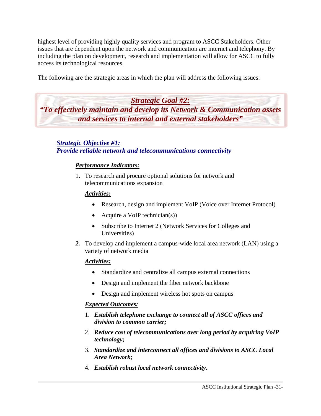highest level of providing highly quality services and program to ASCC Stakeholders. Other issues that are dependent upon the network and communication are internet and telephony. By including the plan on development, research and implementation will allow for ASCC to fully access its technological resources.

The following are the strategic areas in which the plan will address the following issues:

*Strategic Goal #2: "To effectively maintain and develop its Network & Communication assets and services to internal and external stakeholders"* 

# *Strategic Objective #1: Provide reliable network and telecommunications connectivity*

## *Performance Indicators:*

1. To research and procure optional solutions for network and telecommunications expansion

#### *Activities:*

- Research, design and implement VoIP (Voice over Internet Protocol)
- Acquire a VoIP technician(s))
- Subscribe to Internet 2 (Network Services for Colleges and Universities)
- *2.* To develop and implement a campus-wide local area network (LAN) using a variety of network media

#### *Activities:*

- Standardize and centralize all campus external connections
- Design and implement the fiber network backbone
- Design and implement wireless hot spots on campus

- 1. *Establish telephone exchange to connect all of ASCC offices and division to common carrier;*
- 2. *Reduce cost of telecommunications over long period by acquiring VoIP technology;*
- 3. *Standardize and interconnect all offices and divisions to ASCC Local Area Network;*
- 4. *Establish robust local network connectivity.*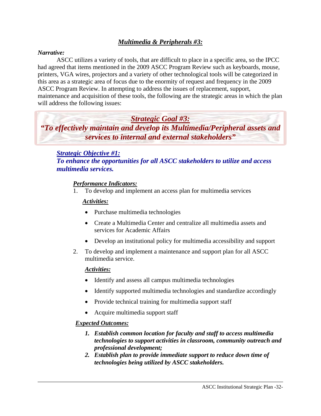# *Multimedia & Peripherals #3:*

#### *Narrative:*

ASCC utilizes a variety of tools, that are difficult to place in a specific area, so the IPCC had agreed that items mentioned in the 2009 ASCC Program Review such as keyboards, mouse, printers, VGA wires, projectors and a variety of other technological tools will be categorized in this area as a strategic area of focus due to the enormity of request and frequency in the 2009 ASCC Program Review. In attempting to address the issues of replacement, support, maintenance and acquisition of these tools, the following are the strategic areas in which the plan will address the following issues:

# *Strategic Goal #3: "To effectively maintain and develop its Multimedia/Peripheral assets and services to internal and external stakeholders"*

# *Strategic Objective #1:*

*To enhance the opportunities for all ASCC stakeholders to utilize and access multimedia services.* 

#### *Performance Indicators:*

1. To develop and implement an access plan for multimedia services

#### *Activities:*

- Purchase multimedia technologies
- Create a Multimedia Center and centralize all multimedia assets and services for Academic Affairs
- Develop an institutional policy for multimedia accessibility and support
- 2. To develop and implement a maintenance and support plan for all ASCC multimedia service.

#### *Activities:*

- Identify and assess all campus multimedia technologies
- Identify supported multimedia technologies and standardize accordingly
- Provide technical training for multimedia support staff
- Acquire multimedia support staff

- *1. Establish common location for faculty and staff to access multimedia technologies to support activities in classroom, community outreach and professional development;*
- *2. Establish plan to provide immediate support to reduce down time of technologies being utilized by ASCC stakeholders.*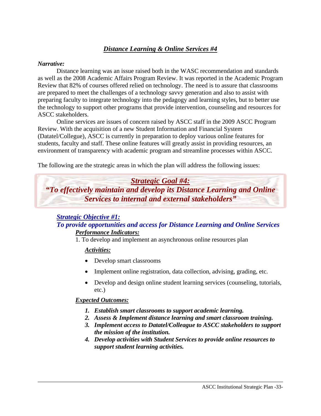# *Distance Learning & Online Services #4*

#### *Narrative:*

Distance learning was an issue raised both in the WASC recommendation and standards as well as the 2008 Academic Affairs Program Review. It was reported in the Academic Program Review that 82% of courses offered relied on technology. The need is to assure that classrooms are prepared to meet the challenges of a technology savvy generation and also to assist with preparing faculty to integrate technology into the pedagogy and learning styles, but to better use the technology to support other programs that provide intervention, counseling and resources for ASCC stakeholders.

Online services are issues of concern raised by ASCC staff in the 2009 ASCC Program Review. With the acquisition of a new Student Information and Financial System (Datatel/Collegue), ASCC is currently in preparation to deploy various online features for students, faculty and staff. These online features will greatly assist in providing resources, an environment of transparency with academic program and streamline processes within ASCC.

The following are the strategic areas in which the plan will address the following issues:



#### *Strategic Objective #1: To provide opportunities and access for Distance Learning and Online Services Performance Indicators:*

1. To develop and implement an asynchronous online resources plan

# *Activities:*

- Develop smart classrooms
- Implement online registration, data collection, advising, grading, etc.
- Develop and design online student learning services (counseling, tutorials, etc.)

- *1. Establish smart classrooms to support academic learning.*
- *2. Assess & Implement distance learning and smart classroom training.*
- *3. Implement access to Datatel/Colleague to ASCC stakeholders to support the mission of the institution.*
- *4. Develop activities with Student Services to provide online resources to support student learning activities.*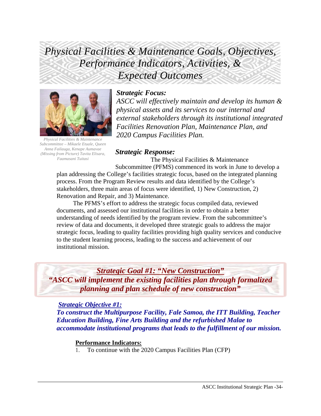# *Physical Facilities & Maintenance Goals, Objectives, Performance Indicators, Activities, & Expected Outcomes*



*Physical Facilities & Maintenance Subcommittee – Mikaele Etuale, Queen Anna Failauga, Kenape Aumavae (Missing from Picture) Tavita Elisara, Faamasani Tuitasi* 

# *Strategic Focus:*

*ASCC will effectively maintain and develop its human & physical assets and its services to our internal and external stakeholders through its institutional integrated Facilities Renovation Plan, Maintenance Plan, and 2020 Campus Facilities Plan.*

#### *Strategic Response:*

 The Physical Facilities & Maintenance Subcommittee (PFMS) commenced its work in June to develop a plan addressing the College's facilities strategic focus, based on the integrated planning process. From the Program Review results and data identified by the College's stakeholders, three main areas of focus were identified, 1) New Construction, 2) Renovation and Repair, and 3) Maintenance.

 The PFMS's effort to address the strategic focus compiled data, reviewed documents, and assessed our institutional facilities in order to obtain a better understanding of needs identified by the program review. From the subcommittee's review of data and documents, it developed three strategic goals to address the major strategic focus, leading to quality facilities providing high quality services and conducive to the student learning process, leading to the success and achievement of our institutional mission.

*Strategic Goal #1: "New Construction" "ASCC will implement the existing facilities plan through formalized planning and plan schedule of new construction"* 

#### *Strategic Objective #1:*

*To construct the Multipurpose Facility, Fale Samoa, the ITT Building, Teacher Education Building, Fine Arts Building and the refurbished Malae to accommodate institutional programs that leads to the fulfillment of our mission.* 

#### **Performance Indicators:**

1. To continue with the 2020 Campus Facilities Plan (CFP)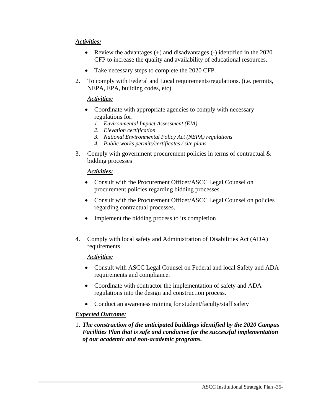# *Activities:*

- Review the advantages (+) and disadvantages (-) identified in the 2020 CFP to increase the quality and availability of educational resources.
- Take necessary steps to complete the 2020 CFP.
- 2. To comply with Federal and Local requirements/regulations. (i.e. permits, NEPA, EPA, building codes, etc)

## *Activities:*

- Coordinate with appropriate agencies to comply with necessary regulations for.
	- *1. Environmental Impact Assessment (EIA)*
	- *2. Elevation certification*
	- *3. National Environmental Policy Act (NEPA) regulations*
	- *4. Public works permits/certificates / site plans*
- 3. Comply with government procurement policies in terms of contractual & bidding processes

#### *Activities:*

- Consult with the Procurement Officer/ASCC Legal Counsel on procurement policies regarding bidding processes.
- Consult with the Procurement Officer/ASCC Legal Counsel on policies regarding contractual processes.
- Implement the bidding process to its completion
- 4. Comply with local safety and Administration of Disabilities Act (ADA) requirements

#### *Activities:*

- Consult with ASCC Legal Counsel on Federal and local Safety and ADA requirements and compliance.
- Coordinate with contractor the implementation of safety and ADA regulations into the design and construction process.
- Conduct an awareness training for student/faculty/staff safety

#### *Expected Outcome:*

1. *The construction of the anticipated buildings identified by the 2020 Campus Facilities Plan that is safe and conducive for the successful implementation of our academic and non-academic programs.*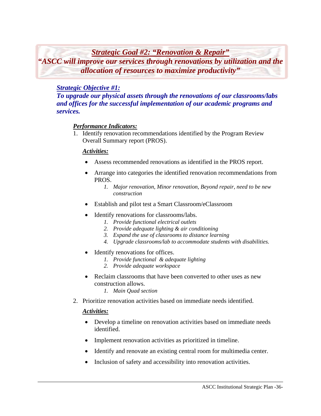*Strategic Goal #2: "Renovation & Repair"*

*"ASCC will improve our services through renovations by utilization and the allocation of resources to maximize productivity"* 

# *Strategic Objective #1:*

*To upgrade our physical assets through the renovations of our classrooms/labs and offices for the successful implementation of our academic programs and services.* 

# *Performance Indicators:*

1. Identify renovation recommendations identified by the Program Review Overall Summary report (PROS).

## *Activities:*

- Assess recommended renovations as identified in the PROS report.
- Arrange into categories the identified renovation recommendations from PROS.
	- *1. Major renovation, Minor renovation, Beyond repair, need to be new construction*
- Establish and pilot test a Smart Classroom/eClassroom
- Identify renovations for classrooms/labs.
	- *1. Provide functional electrical outlets*
	- *2. Provide adequate lighting & air conditioning*
	- *3. Expand the use of classrooms to distance learning*
	- *4. Upgrade classrooms/lab to accommodate students with disabilities.*
- Identify renovations for offices.
	- *1. Provide functional & adequate lighting*
	- *2. Provide adequate workspace*
- Reclaim classrooms that have been converted to other uses as new construction allows.
	- *1. Main Quad section*
- 2. Prioritize renovation activities based on immediate needs identified.

#### *Activities:*

- Develop a timeline on renovation activities based on immediate needs identified.
- Implement renovation activities as prioritized in timeline.
- Identify and renovate an existing central room for multimedia center.
- Inclusion of safety and accessibility into renovation activities.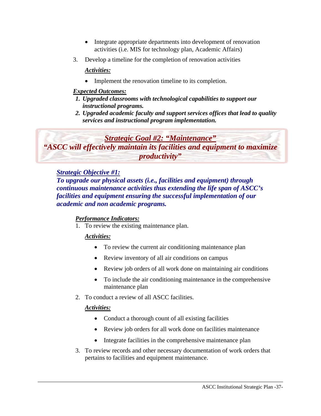- Integrate appropriate departments into development of renovation activities (i.e. MIS for technology plan, Academic Affairs)
- 3. Develop a timeline for the completion of renovation activities

# *Activities:*

• Implement the renovation timeline to its completion.

# *Expected Outcomes:*

- *1. Upgraded classrooms with technological capabilities to support our instructional programs.*
- *2. Upgraded academic faculty and support services offices that lead to quality services and instructional program implementation.*

# *Strategic Goal #2: "Maintenance"*

*"ASCC will effectively maintain its facilities and equipment to maximize productivity"* 

# *Strategic Objective #1:*

*To upgrade our physical assets (i.e., facilities and equipment) through continuous maintenance activities thus extending the life span of ASCC's facilities and equipment ensuring the successful implementation of our academic and non academic programs.* 

# *Performance Indicators:*

1. To review the existing maintenance plan.

# *Activities:*

- To review the current air conditioning maintenance plan
- Review inventory of all air conditions on campus
- Review job orders of all work done on maintaining air conditions
- To include the air conditioning maintenance in the comprehensive maintenance plan
- 2. To conduct a review of all ASCC facilities.

# *Activities:*

- Conduct a thorough count of all existing facilities
- Review job orders for all work done on facilities maintenance
- Integrate facilities in the comprehensive maintenance plan
- 3. To review records and other necessary documentation of work orders that pertains to facilities and equipment maintenance.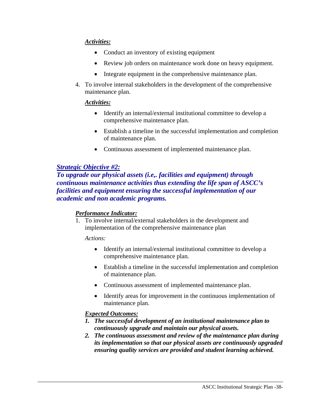## *Activities:*

- Conduct an inventory of existing equipment
- Review job orders on maintenance work done on heavy equipment.
- Integrate equipment in the comprehensive maintenance plan.
- 4. To involve internal stakeholders in the development of the comprehensive maintenance plan.

#### *Activities:*

- Identify an internal/external institutional committee to develop a comprehensive maintenance plan.
- Establish a timeline in the successful implementation and completion of maintenance plan.
- Continuous assessment of implemented maintenance plan.

# *Strategic Objective #2:*

*To upgrade our physical assets (i.e,. facilities and equipment) through continuous maintenance activities thus extending the life span of ASCC's facilities and equipment ensuring the successful implementation of our academic and non academic programs.* 

#### *Performance Indicator:*

1. To involve internal/external stakeholders in the development and implementation of the comprehensive maintenance plan

*Actions:* 

- Identify an internal/external institutional committee to develop a comprehensive maintenance plan.
- Establish a timeline in the successful implementation and completion of maintenance plan.
- Continuous assessment of implemented maintenance plan.
- Identify areas for improvement in the continuous implementation of maintenance plan.

- *1. The successful development of an institutional maintenance plan to continuously upgrade and maintain our physical assets.*
- *2. The continuous assessment and review of the maintenance plan during its implementation so that our physical assets are continuously upgraded ensuring quality services are provided and student learning achieved.*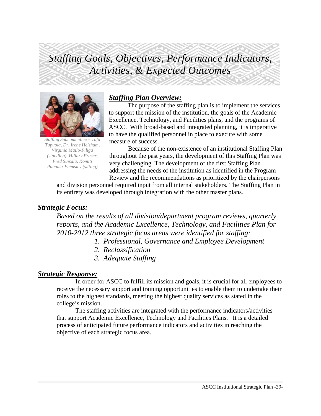# *Staffing Goals, Objectives, Performance Indicators, Activities, & Expected Outcomes*



*Staffing Subcommittee – Tafa Tupuola, Dr. Irene Helsham, Virginia Mailo-Filiga (standing), Hillary Fraser, Fred Suisala, Komiti Panama-Emmsley (sitting)* 

# *Staffing Plan Overview:*

 The purpose of the staffing plan is to implement the services to support the mission of the institution, the goals of the Academic Excellence, Technology, and Facilities plans, and the programs of ASCC. With broad-based and integrated planning, it is imperative to have the qualified personnel in place to execute with some measure of success.

Because of the non-existence of an institutional Staffing Plan throughout the past years, the development of this Staffing Plan was very challenging. The development of the first Staffing Plan addressing the needs of the institution as identified in the Program Review and the recommendations as prioritized by the chairpersons

and division personnel required input from all internal stakeholders. The Staffing Plan in its entirety was developed through integration with the other master plans.

# *Strategic Focus:*

*Based on the results of all division/department program reviews, quarterly reports, and the Academic Excellence, Technology, and Facilities Plan for 2010-2012 three strategic focus areas were identified for staffing:* 

- *1. Professional, Governance and Employee Development*
- *2. Reclassification*
- *3. Adequate Staffing*

# *Strategic Response:*

In order for ASCC to fulfill its mission and goals, it is crucial for all employees to receive the necessary support and training opportunities to enable them to undertake their roles to the highest standards, meeting the highest quality services as stated in the college's mission.

The staffing activities are integrated with the performance indicators/activities that support Academic Excellence, Technology and Facilities Plans. It is a detailed process of anticipated future performance indicators and activities in reaching the objective of each strategic focus area.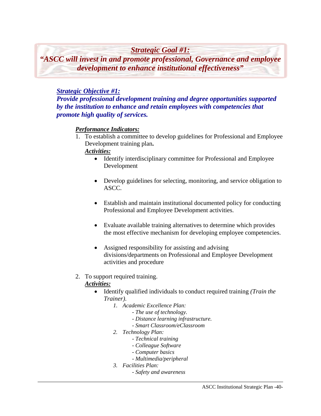# *Strategic Goal #1:*

*"ASCC will invest in and promote professional, Governance and employee development to enhance institutional effectiveness"* 

# *Strategic Objective #1:*

*Provide professional development training and degree opportunities supported by the institution to enhance and retain employees with competencies that promote high quality of services.* 

## *Performance Indicators:*

1. To establish a committee to develop guidelines for Professional and Employee Development training plan**.** 

#### *Activities:*

- Identify interdisciplinary committee for Professional and Employee Development
- Develop guidelines for selecting, monitoring, and service obligation to ASCC.
- Establish and maintain institutional documented policy for conducting Professional and Employee Development activities.
- Evaluate available training alternatives to determine which provides the most effective mechanism for developing employee competencies.
- Assigned responsibility for assisting and advising divisions/departments on Professional and Employee Development activities and procedure

# 2. To support required training.

#### *Activities:*

- Identify qualified individuals to conduct required training *(Train the Trainer)*.
	- *1. Academic Excellence Plan:* 
		- *The use of technology.*
		- *Distance learning infrastructure.*
		- *Smart Classroom/eClassroom*
	- *2. Technology Plan:* 
		- *Technical training*
		- *Colleague Software*
		- *Computer basics*
		- *Multimedia/peripheral*
	- *3. Facilities Plan:* 
		- *Safety and awareness*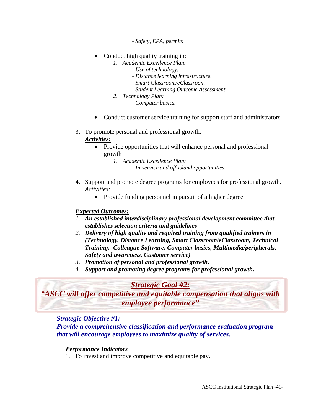*- Safety, EPA, permits* 

- Conduct high quality training in:
	- *1. Academic Excellence Plan:* 
		- *Use of technology.*
		- *Distance learning infrastructure.*
		- *Smart Classroom/eClassroom*
		- *Student Learning Outcome Assessment*
	- *2. Technology Plan:*

 *- Computer basics.* 

- Conduct customer service training for support staff and administrators
- 3. To promote personal and professional growth. *Activities:*
	- Provide opportunities that will enhance personal and professional growth
		- *1. Academic Excellence Plan:* 
			- *In-service and off-island opportunities.*
- 4. Support and promote degree programs for employees for professional growth. *Activities:*
	- Provide funding personnel in pursuit of a higher degree

#### *Expected Outcomes:*

- *1. An established interdisciplinary professional development committee that establishes selection criteria and guidelines*
- *2. Delivery of high quality and required training from qualified trainers in (Technology, Distance Learning, Smart Classroom/eClassroom, Technical Training, Colleague Software, Computer basics, Multimedia/peripherals, Safety and awareness, Customer service)*
- *3. Promotion of personal and professional growth.*
- *4. Support and promoting degree programs for professional growth.*

# *Strategic Goal #2:*

*"ASCC will offer competitive and equitable compensation that aligns with employee performance"* 

# *Strategic Objective #1:*

*Provide a comprehensive classification and performance evaluation program that will encourage employees to maximize quality of services.* 

# *Performance Indicators*

1. To invest and improve competitive and equitable pay.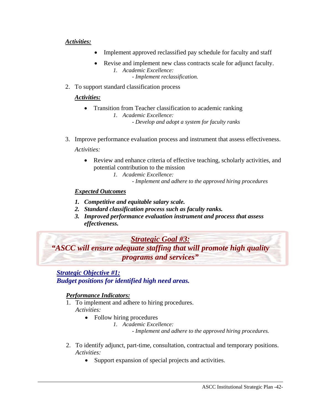#### *Activities:*

- Implement approved reclassified pay schedule for faculty and staff
- Revise and implement new class contracts scale for adjunct faculty. *1. Academic Excellence: - Implement reclassification.*
- 2. To support standard classification process

#### *Activities:*

- Transition from Teacher classification to academic ranking *1. Academic Excellence: - Develop and adopt a system for faculty ranks*
- 3. Improve performance evaluation process and instrument that assess effectiveness.

*Activities:* 

- Review and enhance criteria of effective teaching, scholarly activities, and potential contribution to the mission
	- *1. Academic Excellence:* 
		- *Implement and adhere to the approved hiring procedures*

#### *Expected Outcomes*

- *1. Competitive and equitable salary scale.*
- *2. Standard classification process such as faculty ranks.*
- *3. Improved performance evaluation instrument and process that assess effectiveness.*

*Strategic Goal #3: "ASCC will ensure adequate staffing that will promote high quality programs and services"* 

*Strategic Objective #1:*

*Budget positions for identified high need areas.* 

#### *Performance Indicators:*

- 1. To implement and adhere to hiring procedures. *Activities:* 
	- Follow hiring procedures
		- *1. Academic Excellence:*

*- Implement and adhere to the approved hiring procedures.* 

- 2. To identify adjunct, part-time, consultation, contractual and temporary positions. *Activities:* 
	- Support expansion of special projects and activities.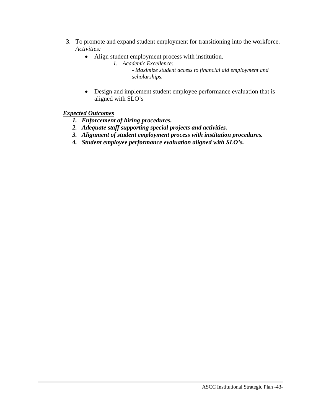- 3. To promote and expand student employment for transitioning into the workforce. *Activities:* 
	- Align student employment process with institution.
		- *1. Academic Excellence: - Maximize student access to financial aid employment and scholarships.*
	- Design and implement student employee performance evaluation that is aligned with SLO's

- *1. Enforcement of hiring procedures.*
- *2. Adequate staff supporting special projects and activities.*
- *3. Alignment of student employment process with institution procedures.*
- *4. Student employee performance evaluation aligned with SLO's.*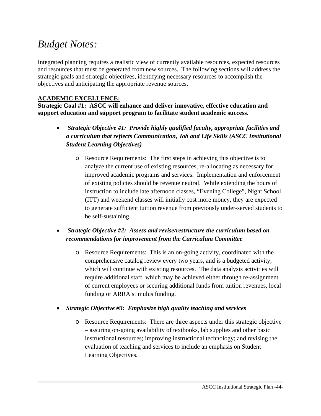# *Budget Notes:*

Integrated planning requires a realistic view of currently available resources, expected resources and resources that must be generated from new sources. The following sections will address the strategic goals and strategic objectives, identifying necessary resources to accomplish the objectives and anticipating the appropriate revenue sources.

# **ACADEMIC EXCELLENCE:**

**Strategic Goal #1: ASCC will enhance and deliver innovative, effective education and support education and support program to facilitate student academic success.** 

- *Strategic Objective #1: Provide highly qualified faculty, appropriate facilities and a curriculum that reflects Communication, Job and Life Skills (ASCC Institutional Student Learning Objectives)* 
	- o Resource Requirements: The first steps in achieving this objective is to analyze the current use of existing resources, re-allocating as necessary for improved academic programs and services. Implementation and enforcement of existing policies should be revenue neutral. While extending the hours of instruction to include late afternoon classes, "Evening College", Night School (ITT) and weekend classes will initially cost more money, they are expected to generate sufficient tuition revenue from previously under-served students to be self-sustaining.
- *Strategic Objective #2: Assess and revise/restructure the curriculum based on recommendations for improvement from the Curriculum Committee* 
	- o Resource Requirements: This is an on-going activity, coordinated with the comprehensive catalog review every two years, and is a budgeted activity, which will continue with existing resources. The data analysis activities will require additional staff, which may be achieved either through re-assignment of current employees or securing additional funds from tuition revenues, local funding or ARRA stimulus funding.
- *Strategic Objective #3: Emphasize high quality teaching and services* 
	- o Resource Requirements: There are three aspects under this strategic objective – assuring on-going availability of textbooks, lab supplies and other basic instructional resources; improving instructional technology; and revising the evaluation of teaching and services to include an emphasis on Student Learning Objectives.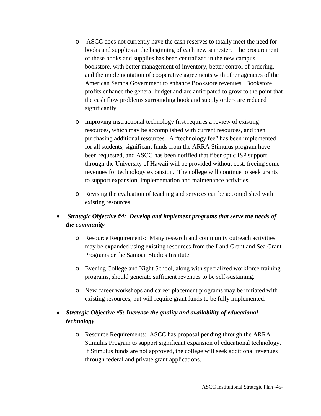- o ASCC does not currently have the cash reserves to totally meet the need for books and supplies at the beginning of each new semester. The procurement of these books and supplies has been centralized in the new campus bookstore, with better management of inventory, better control of ordering, and the implementation of cooperative agreements with other agencies of the American Samoa Government to enhance Bookstore revenues. Bookstore profits enhance the general budget and are anticipated to grow to the point that the cash flow problems surrounding book and supply orders are reduced significantly.
- o Improving instructional technology first requires a review of existing resources, which may be accomplished with current resources, and then purchasing additional resources. A "technology fee" has been implemented for all students, significant funds from the ARRA Stimulus program have been requested, and ASCC has been notified that fiber optic ISP support through the University of Hawaii will be provided without cost, freeing some revenues for technology expansion. The college will continue to seek grants to support expansion, implementation and maintenance activities.
- o Revising the evaluation of teaching and services can be accomplished with existing resources.

# • *Strategic Objective #4: Develop and implement programs that serve the needs of the community*

- o Resource Requirements: Many research and community outreach activities may be expanded using existing resources from the Land Grant and Sea Grant Programs or the Samoan Studies Institute.
- o Evening College and Night School, along with specialized workforce training programs, should generate sufficient revenues to be self-sustaining.
- o New career workshops and career placement programs may be initiated with existing resources, but will require grant funds to be fully implemented.

# • *Strategic Objective #5: Increase the quality and availability of educational technology*

o Resource Requirements: ASCC has proposal pending through the ARRA Stimulus Program to support significant expansion of educational technology. If Stimulus funds are not approved, the college will seek additional revenues through federal and private grant applications.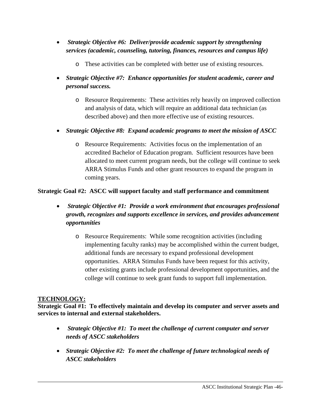- *Strategic Objective #6: Deliver/provide academic support by strengthening services (academic, counseling, tutoring, finances, resources and campus life)* 
	- o These activities can be completed with better use of existing resources.
- *Strategic Objective #7: Enhance opportunities for student academic, career and personal success.* 
	- o Resource Requirements: These activities rely heavily on improved collection and analysis of data, which will require an additional data technician (as described above) and then more effective use of existing resources.
- *Strategic Objective #8: Expand academic programs to meet the mission of ASCC* 
	- o Resource Requirements: Activities focus on the implementation of an accredited Bachelor of Education program. Sufficient resources have been allocated to meet current program needs, but the college will continue to seek ARRA Stimulus Funds and other grant resources to expand the program in coming years.

# **Strategic Goal #2: ASCC will support faculty and staff performance and commitment**

- *Strategic Objective #1: Provide a work environment that encourages professional growth, recognizes and supports excellence in services, and provides advancement opportunities* 
	- o Resource Requirements: While some recognition activities (including implementing faculty ranks) may be accomplished within the current budget, additional funds are necessary to expand professional development opportunities. ARRA Stimulus Funds have been request for this activity, other existing grants include professional development opportunities, and the college will continue to seek grant funds to support full implementation.

# **TECHNOLOGY:**

**Strategic Goal #1: To effectively maintain and develop its computer and server assets and services to internal and external stakeholders.** 

- *Strategic Objective #1: To meet the challenge of current computer and server needs of ASCC stakeholders*
- *Strategic Objective #2: To meet the challenge of future technological needs of ASCC stakeholders*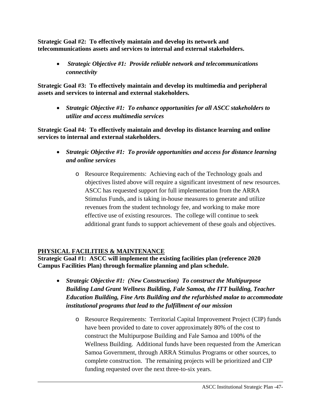**Strategic Goal #2: To effectively maintain and develop its network and telecommunications assets and services to internal and external stakeholders.** 

• *Strategic Objective #1: Provide reliable network and telecommunications connectivity* 

**Strategic Goal #3: To effectively maintain and develop its multimedia and peripheral assets and services to internal and external stakeholders.** 

• *Strategic Objective #1: To enhance opportunities for all ASCC stakeholders to utilize and access multimedia services* 

**Strategic Goal #4: To effectively maintain and develop its distance learning and online services to internal and external stakeholders.** 

- *Strategic Objective #1: To provide opportunities and access for distance learning and online services* 
	- o Resource Requirements: Achieving each of the Technology goals and objectives listed above will require a significant investment of new resources. ASCC has requested support for full implementation from the ARRA Stimulus Funds, and is taking in-house measures to generate and utilize revenues from the student technology fee, and working to make more effective use of existing resources. The college will continue to seek additional grant funds to support achievement of these goals and objectives.

# **PHYSICAL FACILITIES & MAINTENANCE**

**Strategic Goal #1: ASCC will implement the existing facilities plan (reference 2020 Campus Facilities Plan) through formalize planning and plan schedule.** 

- *Strategic Objective #1: (New Construction) To construct the Multipurpose Building Land Grant Wellness Building, Fale Samoa, the ITT building, Teacher Education Building, Fine Arts Building and the refurbished malae to accommodate institutional programs that lead to the fulfillment of our mission* 
	- o Resource Requirements: Territorial Capital Improvement Project (CIP) funds have been provided to date to cover approximately 80% of the cost to construct the Multipurpose Building and Fale Samoa and 100% of the Wellness Building. Additional funds have been requested from the American Samoa Government, through ARRA Stimulus Programs or other sources, to complete construction. The remaining projects will be prioritized and CIP funding requested over the next three-to-six years.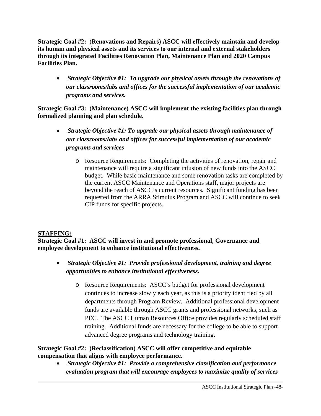**Strategic Goal #2: (Renovations and Repairs) ASCC will effectively maintain and develop its human and physical assets and its services to our internal and external stakeholders through its integrated Facilities Renovation Plan, Maintenance Plan and 2020 Campus Facilities Plan.** 

• *Strategic Objective #1: To upgrade our physical assets through the renovations of our classrooms/labs and offices for the successful implementation of our academic programs and services.* 

**Strategic Goal #3: (Maintenance) ASCC will implement the existing facilities plan through formalized planning and plan schedule.** 

- • *Strategic Objective #1: To upgrade our physical assets through maintenance of our classrooms/labs and offices for successful implementation of our academic programs and services* 
	- o Resource Requirements: Completing the activities of renovation, repair and maintenance will require a significant infusion of new funds into the ASCC budget. While basic maintenance and some renovation tasks are completed by the current ASCC Maintenance and Operations staff, major projects are beyond the reach of ASCC's current resources. Significant funding has been requested from the ARRA Stimulus Program and ASCC will continue to seek CIP funds for specific projects.

# **STAFFING:**

**Strategic Goal #1: ASCC will invest in and promote professional, Governance and employee development to enhance institutional effectiveness.** 

- *Strategic Objective #1: Provide professional development, training and degree opportunities to enhance institutional effectiveness.* 
	- o Resource Requirements: ASCC's budget for professional development continues to increase slowly each year, as this is a priority identified by all departments through Program Review. Additional professional development funds are available through ASCC grants and professional networks, such as PEC. The ASCC Human Resources Office provides regularly scheduled staff training. Additional funds are necessary for the college to be able to support advanced degree programs and technology training.

# **Strategic Goal #2: (Reclassification) ASCC will offer competitive and equitable compensation that aligns with employee performance.**

• *Strategic Objective #1: Provide a comprehensive classification and performance evaluation program that will encourage employees to maximize quality of services*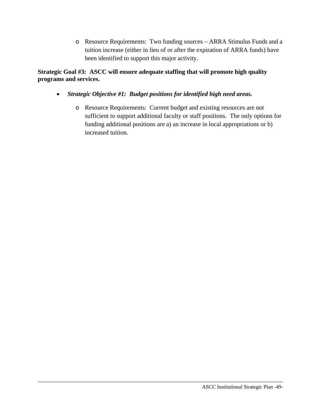o Resource Requirements: Two funding sources – ARRA Stimulus Funds and a tuition increase (either in lieu of or after the expiration of ARRA funds) have been identified to support this major activity.

**Strategic Goal #3: ASCC will ensure adequate staffing that will promote high quality programs and services.** 

- • *Strategic Objective #1: Budget positions for identified high need areas.* 
	- o Resource Requirements: Current budget and existing resources are not sufficient to support additional faculty or staff positions. The only options for funding additional positions are a) an increase in local appropriations or b) increased tuition.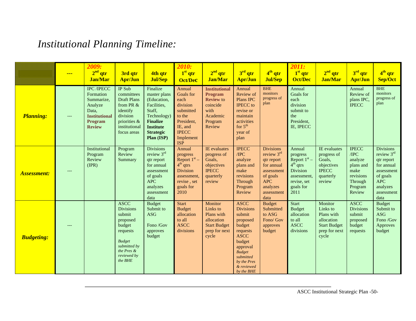# *Institutional Planning Timeline:*

|                    | $\frac{1}{1}$ | 2009:<br>$2nd$ qtr<br><b>Jan/Mar</b>                                                                                 | 3rd qtr<br><b>Apr/Jun</b>                                                                                                                            | 4th qtr<br><b>Jul/Sep</b>                                                                                                                                | 2010:<br>1 <sup>st</sup> qtr<br><b>Oct/Dec</b>                                                                                     | 2 <sup>nd</sup> qtr<br><b>Jan/Mar</b>                                                                           | $3rd$ qtr<br><b>Apr/Jun</b>                                                                                                                                                               | $4th$ qtr<br><b>Jul/Sep</b>                                                                                                            | 2011:<br>1 <sup>st</sup> qtr<br><b>Oct/Dec</b>                                                                           | 2 <sup>nd</sup> qtr<br><b>Jan/Mar</b>                                                            | $3rd$ qtr<br><b>Apr/Jun</b>                                                                       | $4th$ qtr<br>Sep/Oct                                                                                                                 |
|--------------------|---------------|----------------------------------------------------------------------------------------------------------------------|------------------------------------------------------------------------------------------------------------------------------------------------------|----------------------------------------------------------------------------------------------------------------------------------------------------------|------------------------------------------------------------------------------------------------------------------------------------|-----------------------------------------------------------------------------------------------------------------|-------------------------------------------------------------------------------------------------------------------------------------------------------------------------------------------|----------------------------------------------------------------------------------------------------------------------------------------|--------------------------------------------------------------------------------------------------------------------------|--------------------------------------------------------------------------------------------------|---------------------------------------------------------------------------------------------------|--------------------------------------------------------------------------------------------------------------------------------------|
| <b>Planning:</b>   | $---$         | <b>IPC</b> /IPECC<br>Formation<br>Summarize,<br>Analyze<br>Data,<br><b>Institutional</b><br>Program<br><b>Review</b> | IP Sub<br>committees<br><b>Draft Plans</b><br>from PR $&$<br>identify<br>division<br>priorities &<br>institutional<br>focus areas                    | Finalize<br>master plans<br>(Education,<br>Facilities,<br>Staff,<br>Technology)<br><b>Finalize</b><br><b>Institute</b><br><b>Strategic</b><br>Plan (ISP) | Annual<br>Goals for<br>each<br>division<br>submitted<br>to the<br>President,<br>IE, and<br><b>IPECC</b><br>Implement<br><b>ISP</b> | <b>Institutional</b><br><b>Program</b><br><b>Review to</b><br>coincide<br>with<br>Academic<br>Program<br>Review | Annual<br>Review of<br>Plans IPC<br><b>IPECC</b> to<br>revise or<br>maintain<br>activities<br>for $5th$<br>year of<br>plan                                                                | <b>BHE</b><br>monitors<br>progress of<br>plan                                                                                          | Annual<br>Goals for<br>each<br>division<br>submit to<br>the<br>President,<br>IE, IPECC                                   |                                                                                                  | Annual<br>Review of<br>plans IPC,<br><b>IPECC</b>                                                 | <b>BHE</b><br>monitors<br>progress of<br>plan                                                                                        |
| <b>Assessment:</b> | $---$         | Institutional<br>Program<br>Review<br>(IPR)                                                                          | Program<br>Review<br>Summary                                                                                                                         | <b>Divisions</b><br>review 3rd<br>qtr report<br>for annual<br>assessment<br>of goals<br><b>APC</b><br>analyzes<br>assessment<br>data                     | Annual<br>progress<br>Report $1st$ –<br>$4th$ qtrs<br><b>Division</b><br>assessment,<br>revise, set<br>goals for<br>2010           | <b>IE</b> evaluates<br>progress of<br>Goals,<br>objectives<br><b>IPECC</b><br>quarterly<br>review               | <b>IPECC</b><br>/IPC<br>analyze<br>plans and<br>make<br>revisions<br>Through<br>Program<br>Review                                                                                         | <b>Divisions</b><br>review $3rd$<br>qtr report<br>for annual<br>assessment<br>of goals<br><b>APC</b><br>analyzes<br>assessment<br>data | Annual<br>progress<br>Report $1st$ –<br>$4th$ qtrs<br><b>Division</b><br>assessment,<br>revise, set<br>goals for<br>2011 | IE evaluates<br>progress of<br>Goals,<br>objectives<br><b>IPECC</b><br>quarterly<br>review       | <b>IPECC</b><br>/IPC<br>analyze<br>plans and<br>make<br>revisions<br>Through<br>Program<br>Review | <b>Divisions</b><br>review 3rd<br>qtr report<br>for annual<br>assessment<br>of goals<br><b>APC</b><br>analyzes<br>assessment<br>data |
| <b>Budgeting:</b>  | ---           |                                                                                                                      | <b>ASCC</b><br><b>Divisions</b><br>submit<br>proposed<br>budget<br>requests<br><b>Budget</b><br>submitted by<br>the Pres &<br>reviewed by<br>the BHE | <b>Budget</b><br>Submit to<br><b>ASG</b><br>Fono /Gov<br>approves<br>budget                                                                              | <b>Start</b><br><b>Budget</b><br>allocation<br>to all<br><b>ASCC</b><br>divisions                                                  | Monitor<br>Links to<br>Plans with<br>allocation<br><b>Start Budget</b><br>prep for next<br>cycle                | <b>ASCC</b><br><b>Divisions</b><br>submit<br>proposed<br>budget<br>requests<br><b>ASCC</b><br>budget<br>approval<br><b>Budget</b><br>submitted<br>by the Pres<br>& reviewed<br>by the BHE | <b>Budget</b><br>Submitted<br>to ASG<br>Fono/ Gov<br>approves<br>budget                                                                | <b>Start</b><br><b>Budget</b><br>allocation<br>to all<br><b>ASCC</b><br>divisions                                        | Monitor<br>Links to<br>Plans with<br>allocation<br><b>Start Budget</b><br>prep for next<br>cycle | <b>ASCC</b><br><b>Divisions</b><br>submit<br>proposed<br>budget<br>requests                       | <b>Budget</b><br>Submit to<br><b>ASG</b><br>Fono /Gov<br>Approves<br>budget                                                          |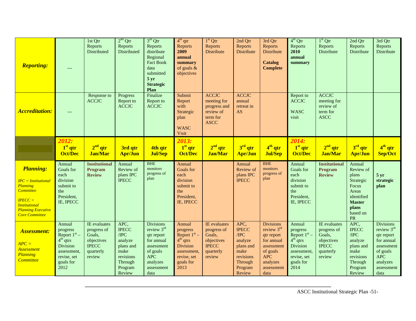| <b>Reporting:</b>                                                                                                                                                    | $---$                                                                                  | 1st Qtr<br>Reports<br>Distributed                | $2nd$ Qtr<br>Reports<br>Distributed              | $3rd$ Qtr<br>Reports<br>distribute<br>Regional<br><b>Fact Book</b><br>data<br>submitted<br>5 <sub>yr</sub><br><b>Strategic</b><br>Plan | $4th$ qtr<br>Reports<br>2009<br>annual<br>summary<br>of goals $\&$<br>objectives       | $1st$ Qtr<br>Reports<br><b>Distribute</b>                                           | 2nd Qtr<br>Reports<br>Distribute                 | 3rd Qtr<br>Reports<br><b>Distribute</b><br><b>Catalog</b><br><b>Complete</b> | $4^{th}$ Qtr<br>Reports<br>2010<br>annual<br>summary                                   | $1st$ Qtr<br>Reports<br>Distribute                                  | 2nd Qtr<br>Reports<br>Distribute                                                                                      | 3rd Qtr<br>Reports<br>Distribute     |
|----------------------------------------------------------------------------------------------------------------------------------------------------------------------|----------------------------------------------------------------------------------------|--------------------------------------------------|--------------------------------------------------|----------------------------------------------------------------------------------------------------------------------------------------|----------------------------------------------------------------------------------------|-------------------------------------------------------------------------------------|--------------------------------------------------|------------------------------------------------------------------------------|----------------------------------------------------------------------------------------|---------------------------------------------------------------------|-----------------------------------------------------------------------------------------------------------------------|--------------------------------------|
| <b>Accreditation:</b>                                                                                                                                                | ---                                                                                    | Response to<br><b>ACCJC</b>                      | Progress<br>Report to<br><b>ACCJC</b>            | Finalize<br>Report to<br><b>ACCJC</b>                                                                                                  | Submit<br>Report<br>with<br>Strategic<br>plan<br><b>WASC</b><br><b>Visit</b>           | <b>ACCJC</b><br>meeting for<br>progress and<br>review of<br>term for<br><b>ASCC</b> | <b>ACCJC</b><br>annual<br>retreat in<br>AS       |                                                                              | Report to<br><b>ACCJC</b><br><b>WASC</b><br>visit                                      | <b>ACCJC</b><br>meeting for<br>review of<br>term for<br><b>ASCC</b> |                                                                                                                       |                                      |
|                                                                                                                                                                      | 2012:<br>$1st$ qtr<br><b>Oct/Dec</b>                                                   | $2nd$ qtr<br><b>Jan/Mar</b>                      | 3rd qtr<br><b>Apr/Jun</b>                        | 4th qtr<br><b>Jul/Sep</b>                                                                                                              | 2013:<br>1 <sup>st</sup> qtr<br><b>Oct/Dec</b>                                         | $2nd$ qtr<br><b>Jan/Mar</b>                                                         | $3rd$ qtr<br><b>Apr/Jun</b>                      | 4 <sup>th</sup> qtr<br><b>Jul/Sep</b>                                        | 2014:<br>1 <sup>st</sup> qtr<br><b>Oct/Dec</b>                                         | $2nd$ qtr<br><b>Jan/Mar</b>                                         | $3rd$ qtr<br><b>Apr/Jun</b>                                                                                           | $4th$ qtr<br>Sep/Oct                 |
|                                                                                                                                                                      |                                                                                        |                                                  |                                                  |                                                                                                                                        |                                                                                        |                                                                                     |                                                  |                                                                              |                                                                                        |                                                                     |                                                                                                                       |                                      |
| <b>Planning:</b><br>$IPC = Institutional$<br>Planning<br><b>Committee</b><br>$IPECC =$<br><b>Institutional</b><br><b>Planning Executive</b><br><b>Core Committee</b> | Annual<br>Goals for<br>each<br>division<br>submit to<br>the<br>President,<br>IE, IPECC | <b>Institutional</b><br>Program<br><b>Review</b> | Annual<br>Review of<br>plans IPC<br><b>IPECC</b> | <b>BHE</b><br>monitors<br>progress of<br>plan                                                                                          | Annual<br>Goals for<br>each<br>division<br>submit to<br>the<br>President,<br>IE, IPECC |                                                                                     | Annual<br>Review of<br>plans IPC<br><b>IPECC</b> | <b>BHE</b><br>monitors<br>progress of<br>plan                                | Annual<br>Goals for<br>each<br>division<br>submit to<br>the<br>President,<br>IE, IPECC | <b>Institutional</b><br>Program<br><b>Review</b>                    | Annual<br>Review of<br>plans<br>Strategic<br>Focus<br>Areas<br>identified<br><b>Master</b><br>plans<br>based on<br>PR | 5 <sub>yr</sub><br>strategic<br>plan |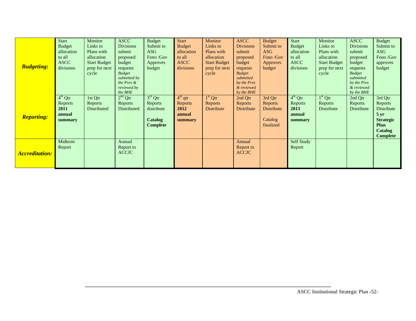|                       | <b>Start</b>  | Monitor             | <b>ASCC</b>                | <b>Budget</b>  | <b>Start</b>  | Monitor             | <b>ASCC</b>               | <b>Budget</b>   | <b>Start</b>      | Monitor             | <b>ASCC</b>               | <b>Budget</b>     |
|-----------------------|---------------|---------------------|----------------------------|----------------|---------------|---------------------|---------------------------|-----------------|-------------------|---------------------|---------------------------|-------------------|
|                       | <b>Budget</b> | Links to            | <b>Divisions</b>           | Submit to      | <b>Budget</b> | Links to            | <b>Divisions</b>          | Submit to       | <b>Budget</b>     | Links to            | <b>Divisions</b>          | Submit to         |
|                       | allocation    | Plans with          | submit                     | ASG            | allocation    | Plans with          | submit                    | ASG             | allocation        | Plans with          | submit                    | ASG               |
|                       | to all        | allocation          | proposed                   | Fono /Gov      | to all        | allocation          | proposed                  | Fono /Gov       | to all            | allocation          | proposed                  | Fono /Gov         |
|                       | <b>ASCC</b>   | <b>Start Budget</b> | budget                     | Approves       | <b>ASCC</b>   | <b>Start Budget</b> | budget                    | <b>Approves</b> | <b>ASCC</b>       | <b>Start Budget</b> | budget                    | approves          |
| <b>Budgeting:</b>     | divisions     | prep for next       | requests                   | budget         | divisions     | prep for next       | requests                  | budget          | divisions         | prep for next       | requests                  | budget            |
|                       |               | cycle               | <b>Budget</b>              |                |               | cycle               | <b>Budget</b>             |                 |                   | cycle               | <b>Budget</b>             |                   |
|                       |               |                     | submitted by<br>the Pres & |                |               |                     | submitted                 |                 |                   |                     | submitted                 |                   |
|                       |               |                     | reviewed by                |                |               |                     | by the Pres<br>& reviewed |                 |                   |                     | by the Pres<br>& reviewed |                   |
|                       |               |                     | the BHE                    |                |               |                     | by the BHE                |                 |                   |                     | by the BHE                |                   |
|                       | $4th$ Qtr     | 1st Qtr             | $2nd$ Qtr                  | $3rd$ Qtr      | $4th$ qtr     | $1st$ Qtr           | 2nd Qtr                   | 3rd Qtr         | $4^{th}$ Qtr      | $1st$ Qtr           | 2nd Qtr                   | 3rd Qtr           |
|                       | Reports       | <b>Reports</b>      | Reports                    | Reports        | Reports       | Reports             | Reports                   | Reports         | Reports           | Reports             | Reports                   | Reports           |
|                       | 2011          | Distributed         | Distributed                | distribute     | 2012          | Distribute          | Distribute                | Distribute      | 2013              | Distribute          | Distribute                | Distribute        |
|                       | annual        |                     |                            |                | annual        |                     |                           |                 | annual            |                     |                           | $5 \,\mathrm{yr}$ |
| <b>Reporting:</b>     | summary       |                     |                            | <b>Catalog</b> | summary       |                     |                           | Catalog         | summary           |                     |                           | <b>Strategic</b>  |
|                       |               |                     |                            | Complete       |               |                     |                           | finalized       |                   |                     |                           | Plan              |
|                       |               |                     |                            |                |               |                     |                           |                 |                   |                     |                           | <b>Catalog</b>    |
|                       |               |                     |                            |                |               |                     |                           |                 |                   |                     |                           | <b>Complete</b>   |
|                       | Midterm       |                     | Annual                     |                |               |                     | Annual                    |                 | <b>Self Study</b> |                     |                           |                   |
|                       | Report        |                     | Report to                  |                |               |                     | Report to                 |                 | Report            |                     |                           |                   |
| <b>Accreditation:</b> |               |                     | <b>ACCJC</b>               |                |               |                     | <b>ACCJC</b>              |                 |                   |                     |                           |                   |
|                       |               |                     |                            |                |               |                     |                           |                 |                   |                     |                           |                   |
|                       |               |                     |                            |                |               |                     |                           |                 |                   |                     |                           |                   |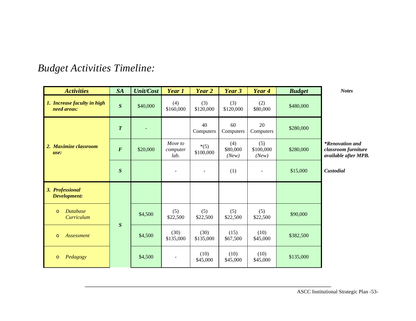| <b>Activities</b>                          | <b>SA</b>        | <b>Unit/Cost</b> | Year 1                      | Year 2              | Year 3                   | Year 4                    | <b>Budget</b> | <b>Notes</b>                                                          |
|--------------------------------------------|------------------|------------------|-----------------------------|---------------------|--------------------------|---------------------------|---------------|-----------------------------------------------------------------------|
| 1. Increase faculty in high<br>need areas: | $\boldsymbol{S}$ | \$40,000         | (4)<br>\$160,000            | (3)<br>\$120,000    | (3)<br>\$120,000         | (2)<br>\$80,000           | \$480,000     |                                                                       |
|                                            | $\boldsymbol{T}$ |                  |                             | 40<br>Computers     | 60<br>Computers          | 20<br>Computers           | \$280,000     |                                                                       |
| 2. Maximize classroom<br>use:              | $\boldsymbol{F}$ | \$20,000         | Move to<br>computer<br>lab. | $*(5)$<br>\$100,000 | (4)<br>\$80,000<br>(New) | (5)<br>\$100,000<br>(New) | \$280,000     | <i>*Renovation and</i><br>classroom furniture<br>available after MPB. |
|                                            | $\boldsymbol{S}$ |                  |                             | $\blacksquare$      | (1)                      |                           | \$15,000      | Custodial                                                             |
| 3. Professional<br>Development:            |                  |                  |                             |                     |                          |                           |               |                                                                       |
| <b>Database</b><br>$\circ$<br>Curriculum   | $\boldsymbol{S}$ | \$4,500          | (5)<br>\$22,500             | (5)<br>\$22,500     | (5)<br>\$22,500          | (5)<br>\$22,500           | \$90,000      |                                                                       |
| <b>Assessment</b><br>$\circ$               |                  | \$4,500          | (30)<br>\$135,000           | (30)<br>\$135,000   | (15)<br>\$67,500         | (10)<br>\$45,000          | \$382,500     |                                                                       |
| Pedagogy<br>$\circ$                        |                  | \$4,500          |                             | (10)<br>\$45,000    | (10)<br>\$45,000         | (10)<br>\$45,000          | \$135,000     |                                                                       |

# *Budget Activities Timeline:*

ASCC Institutional Strategic Plan -53-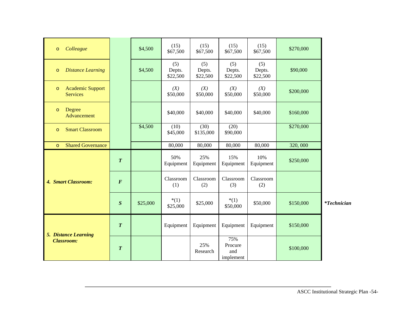|                  | \$4,500  | (15)<br>\$67,500          | (15)<br>\$67,500          | (15)<br>\$67,500                   | (15)<br>\$67,500          | \$270,000 |               |
|------------------|----------|---------------------------|---------------------------|------------------------------------|---------------------------|-----------|---------------|
|                  | \$4,500  | (5)<br>Depts.<br>\$22,500 | (5)<br>Depts.<br>\$22,500 | (5)<br>Depts.<br>\$22,500          | (5)<br>Depts.<br>\$22,500 | \$90,000  |               |
|                  |          | (X)<br>\$50,000           | (X)<br>\$50,000           | (X)<br>\$50,000                    | (X)<br>\$50,000           | \$200,000 |               |
|                  |          | \$40,000                  | \$40,000                  | \$40,000                           | \$40,000                  | \$160,000 |               |
|                  | \$4,500  | (10)<br>\$45,000          | (30)<br>\$135,000         | (20)<br>\$90,000                   |                           | \$270,000 |               |
|                  |          | 80,000                    | 80,000                    | 80,000                             | 80,000                    | 320,000   |               |
| $\boldsymbol{T}$ |          | 50%<br>Equipment          | 25%<br>Equipment          | 15%<br>Equipment                   | 10%<br>Equipment          | \$250,000 |               |
| $\boldsymbol{F}$ |          | Classroom<br>(1)          | Classroom<br>(2)          | Classroom<br>(3)                   | Classroom<br>(2)          |           |               |
| S                | \$25,000 | $*(1)$<br>\$25,000        | \$25,000                  | $*(1)$<br>\$50,000                 | \$50,000                  | \$150,000 | $*Technician$ |
| $\boldsymbol{T}$ |          | Equipment                 | Equipment                 | Equipment                          | Equipment                 | \$150,000 |               |
| $\boldsymbol{T}$ |          |                           | 25%<br>Research           | 75%<br>Procure<br>and<br>implement |                           | \$100,000 |               |
|                  |          |                           |                           |                                    |                           |           |               |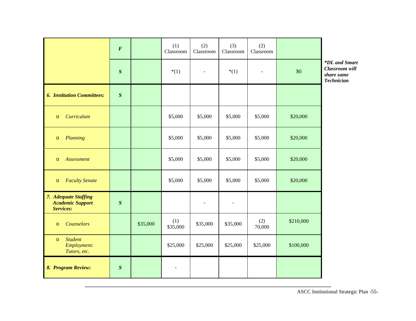|                                                              | $\boldsymbol{F}$ |          | (1)<br>Classroom | (2)<br>Classroom | (3)<br>Classroom         | (2)<br>Classroom |           |                                                                    |
|--------------------------------------------------------------|------------------|----------|------------------|------------------|--------------------------|------------------|-----------|--------------------------------------------------------------------|
|                                                              | $\boldsymbol{S}$ |          | $*(1)$           | $\blacksquare$   | $*(1)$                   | $\blacksquare$   | $\$0$     | *DL and Smart<br>Classroom will<br>share same<br><b>Technician</b> |
| <b>6. Institution Committees:</b>                            | $\boldsymbol{S}$ |          |                  |                  |                          |                  |           |                                                                    |
| <b>Curriculum</b><br>$\circ$                                 |                  |          | \$5,000          | \$5,000          | \$5,000                  | \$5,000          | \$20,000  |                                                                    |
| Planning<br>$\circ$                                          |                  |          | \$5,000          | \$5,000          | \$5,000                  | \$5,000          | \$20,000  |                                                                    |
| <b>Assessment</b><br>$\circ$                                 |                  |          | \$5,000          | \$5,000          | \$5,000                  | \$5,000          | \$20,000  |                                                                    |
| <b>Faculty Senate</b><br>$\circ$                             |                  |          | \$5,000          | \$5,000          | \$5,000                  | \$5,000          | \$20,000  |                                                                    |
| 7. Adequate Staffing<br><b>Academic Support</b><br>Services: | S                |          |                  |                  | $\overline{\phantom{a}}$ |                  |           |                                                                    |
| Counselors<br>$\circ$                                        |                  | \$35,000 | (1)<br>\$35,000  | \$35,000         | \$35,000                 | (2)<br>70,000    | \$210,000 |                                                                    |
| <b>Student</b><br>$\circ$<br>Employment:<br>Tutors, etc.     |                  |          | \$25,000         | \$25,000         | \$25,000                 | \$25,000         | \$100,000 |                                                                    |
| 8. Program Review:                                           | $\boldsymbol{S}$ |          | $\blacksquare$   |                  |                          |                  |           |                                                                    |

ASCC Institutional Strategic Plan -55-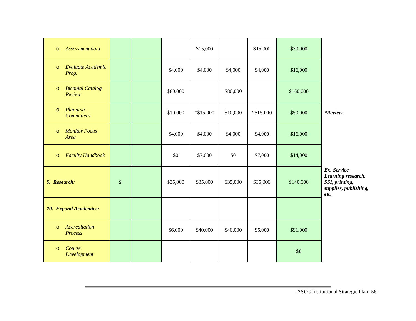| Assessment data<br>$\circ$                   |   |          | \$15,000    |          | \$15,000     | \$30,000  |                                                                                      |
|----------------------------------------------|---|----------|-------------|----------|--------------|-----------|--------------------------------------------------------------------------------------|
| Evaluate Academic<br>$\circ$<br>Prog.        |   | \$4,000  | \$4,000     | \$4,000  | \$4,000      | \$16,000  |                                                                                      |
| <b>Biennial Catalog</b><br>$\circ$<br>Review |   | \$80,000 |             | \$80,000 |              | \$160,000 |                                                                                      |
| Planning<br>$\circ$<br><b>Committees</b>     |   | \$10,000 | $*\$15,000$ | \$10,000 | $*$ \$15,000 | \$50,000  | <i>*Review</i>                                                                       |
| <b>Monitor Focus</b><br>$\circ$<br>Area      |   | \$4,000  | \$4,000     | \$4,000  | \$4,000      | \$16,000  |                                                                                      |
| <b>Faculty Handbook</b><br>$\circ$           |   | \$0      | \$7,000     | \$0      | \$7,000      | \$14,000  |                                                                                      |
| 9. Research:                                 | S | \$35,000 | \$35,000    | \$35,000 | \$35,000     | \$140,000 | Ex. Service<br>Learning research,<br>SSI, printing,<br>supplies, publishing,<br>etc. |
| <b>10. Expand Academics:</b>                 |   |          |             |          |              |           |                                                                                      |
| Accreditation<br>$\circ$<br>Process          |   | \$6,000  | \$40,000    | \$40,000 | \$5,000      | \$91,000  |                                                                                      |
| Course<br>$\circ$<br>Development             |   |          |             |          |              | \$0       |                                                                                      |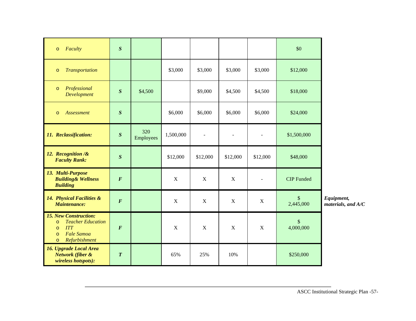| Faculty<br>$\circ$                                                                                                                                | $\boldsymbol{S}$ |                         |             |                |             |                     | \$0               |                                  |
|---------------------------------------------------------------------------------------------------------------------------------------------------|------------------|-------------------------|-------------|----------------|-------------|---------------------|-------------------|----------------------------------|
| <b>Transportation</b><br>$\circ$                                                                                                                  |                  |                         | \$3,000     | \$3,000        | \$3,000     | \$3,000             | \$12,000          |                                  |
| Professional<br>$\circ$<br><b>Development</b>                                                                                                     | S                | \$4,500                 |             | \$9,000        | \$4,500     | \$4,500             | \$18,000          |                                  |
| Assessment<br>$\circ$                                                                                                                             | $\boldsymbol{S}$ |                         | \$6,000     | \$6,000        | \$6,000     | \$6,000             | \$24,000          |                                  |
| 11. Reclassification:                                                                                                                             | $\boldsymbol{S}$ | 320<br><b>Employees</b> | 1,500,000   | $\overline{a}$ |             | $\bar{\phantom{a}}$ | \$1,500,000       |                                  |
| 12. Recognition /&<br><b>Faculty Rank:</b>                                                                                                        | $\boldsymbol{S}$ |                         | \$12,000    | \$12,000       | \$12,000    | \$12,000            | \$48,000          |                                  |
| 13. Multi-Purpose<br><b>Building&amp; Wellness</b><br><b>Building</b>                                                                             | $\boldsymbol{F}$ |                         | $\mathbf X$ | $\mathbf X$    | $\mathbf X$ | $\sim$              | <b>CIP</b> Funded |                                  |
| 14. Physical Facilities &<br><b>Maintenance:</b>                                                                                                  | $\boldsymbol{F}$ |                         | $\mathbf X$ | $\mathbf X$    | $\mathbf X$ | $\mathbf X$         | \$<br>2,445,000   | Equipment,<br>materials, and A/C |
| <b>15. New Construction:</b><br><b>Teacher Education</b><br>$\circ$<br><b>ITT</b><br>$\circ$<br>Fale Samoa<br>$\circ$<br>Refurbishment<br>$\circ$ | $\pmb{F}$        |                         | $\mathbf X$ | $\mathbf X$    | $\mathbf X$ | $\boldsymbol{X}$    | \$<br>4,000,000   |                                  |
| <b>16. Upgrade Local Area</b><br>Network (fiber &<br>wireless hotspots):                                                                          | $\overline{T}$   |                         | 65%         | 25%            | 10%         |                     | \$250,000         |                                  |

ASCC Institutional Strategic Plan -57-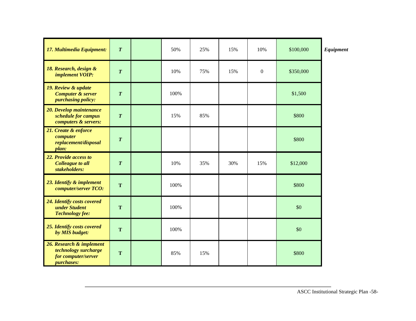| 17. Multimedia Equipment:                                                                    | $\boldsymbol{T}$ | 50%  | 25% | 15% | 10%          | \$100,000 | <b>Equipment</b> |
|----------------------------------------------------------------------------------------------|------------------|------|-----|-----|--------------|-----------|------------------|
| 18. Research, design &<br>implement VOIP:                                                    | $\boldsymbol{T}$ | 10%  | 75% | 15% | $\mathbf{0}$ | \$350,000 |                  |
| 19. Review & update<br><b>Computer &amp; server</b><br><i>purchasing policy:</i>             | $\overline{T}$   | 100% |     |     |              | \$1,500   |                  |
| 20. Develop maintenance<br>schedule for campus<br>computers & servers:                       | $\boldsymbol{T}$ | 15%  | 85% |     |              | \$800     |                  |
| 21. Create & enforce<br>computer<br>replacement/disposal<br>plan:                            | $\boldsymbol{T}$ |      |     |     |              | \$800     |                  |
| 22. Provide access to<br><b>Colleague to all</b><br>stakeholders:                            | $\boldsymbol{T}$ | 10%  | 35% | 30% | 15%          | \$12,000  |                  |
| 23. Identify & implement<br>computer/server TCO:                                             | T                | 100% |     |     |              | \$800     |                  |
| 24. Identify costs covered<br>under Student<br><b>Technology fee:</b>                        | T                | 100% |     |     |              | \$0       |                  |
| 25. Identify costs covered<br>by MIS budget:                                                 | T                | 100% |     |     |              | \$0       |                  |
| 26. Research & implement<br>technology surcharge<br>for computer/server<br><i>purchases:</i> | T                | 85%  | 15% |     |              | \$800     |                  |